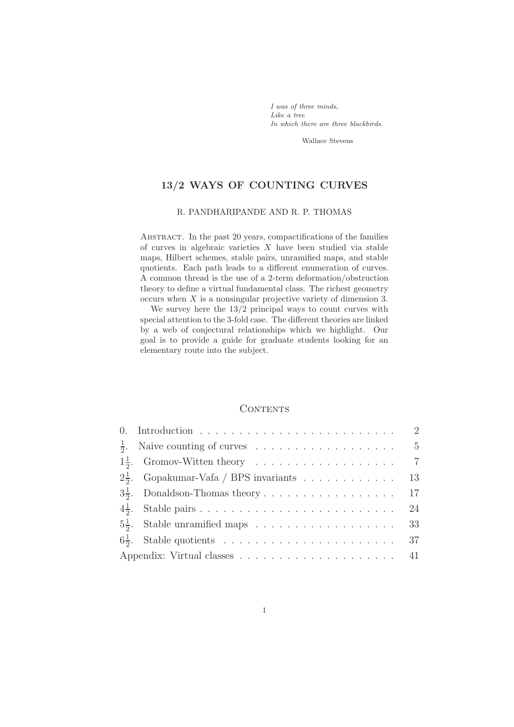I was of three minds, Like a tree In which there are three blackbirds.

Wallace Stevens

## 13/2 WAYS OF COUNTING CURVES

## R. PANDHARIPANDE AND R. P. THOMAS

ABSTRACT. In the past 20 years, compactifications of the families of curves in algebraic varieties X have been studied via stable maps, Hilbert schemes, stable pairs, unramified maps, and stable quotients. Each path leads to a different enumeration of curves. A common thread is the use of a 2-term deformation/obstruction theory to define a virtual fundamental class. The richest geometry occurs when X is a nonsingular projective variety of dimension 3.

We survey here the 13/2 principal ways to count curves with special attention to the 3-fold case. The different theories are linked by a web of conjectural relationships which we highlight. Our goal is to provide a guide for graduate students looking for an elementary route into the subject.

### CONTENTS

| $2\frac{1}{2}$ . Gopakumar-Vafa / BPS invariants | 13   |
|--------------------------------------------------|------|
|                                                  | 17   |
|                                                  | 24   |
|                                                  | 33   |
|                                                  | - 37 |
|                                                  |      |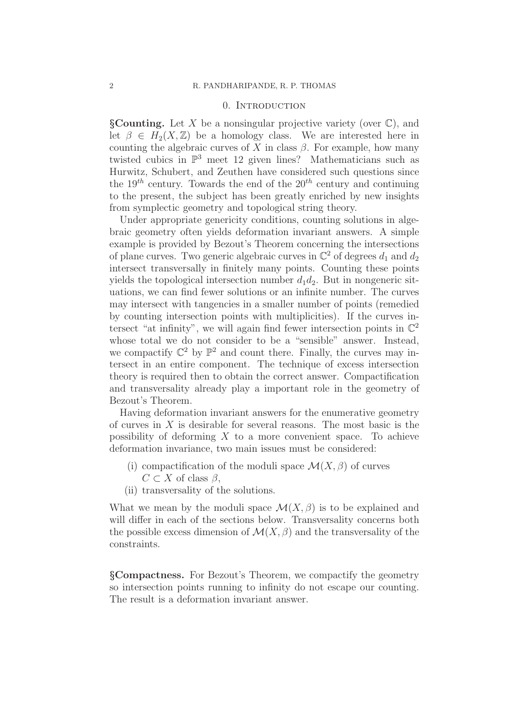### 0. INTRODUCTION

**§Counting.** Let X be a nonsingular projective variety (over  $\mathbb{C}$ ), and let  $\beta \in H_2(X,\mathbb{Z})$  be a homology class. We are interested here in counting the algebraic curves of X in class  $\beta$ . For example, how many twisted cubics in  $\mathbb{P}^3$  meet 12 given lines? Mathematicians such as Hurwitz, Schubert, and Zeuthen have considered such questions since the  $19^{th}$  century. Towards the end of the  $20^{th}$  century and continuing to the present, the subject has been greatly enriched by new insights from symplectic geometry and topological string theory.

Under appropriate genericity conditions, counting solutions in algebraic geometry often yields deformation invariant answers. A simple example is provided by Bezout's Theorem concerning the intersections of plane curves. Two generic algebraic curves in  $\mathbb{C}^2$  of degrees  $d_1$  and  $d_2$ intersect transversally in finitely many points. Counting these points yields the topological intersection number  $d_1 d_2$ . But in nongeneric situations, we can find fewer solutions or an infinite number. The curves may intersect with tangencies in a smaller number of points (remedied by counting intersection points with multiplicities). If the curves intersect "at infinity", we will again find fewer intersection points in  $\mathbb{C}^2$ whose total we do not consider to be a "sensible" answer. Instead, we compactify  $\mathbb{C}^2$  by  $\mathbb{P}^2$  and count there. Finally, the curves may intersect in an entire component. The technique of excess intersection theory is required then to obtain the correct answer. Compactification and transversality already play a important role in the geometry of Bezout's Theorem.

Having deformation invariant answers for the enumerative geometry of curves in  $X$  is desirable for several reasons. The most basic is the possibility of deforming  $X$  to a more convenient space. To achieve deformation invariance, two main issues must be considered:

- (i) compactification of the moduli space  $\mathcal{M}(X,\beta)$  of curves
	- $C \subset X$  of class  $\beta$ ,
- (ii) transversality of the solutions.

What we mean by the moduli space  $\mathcal{M}(X,\beta)$  is to be explained and will differ in each of the sections below. Transversality concerns both the possible excess dimension of  $\mathcal{M}(X,\beta)$  and the transversality of the constraints.

§Compactness. For Bezout's Theorem, we compactify the geometry so intersection points running to infinity do not escape our counting. The result is a deformation invariant answer.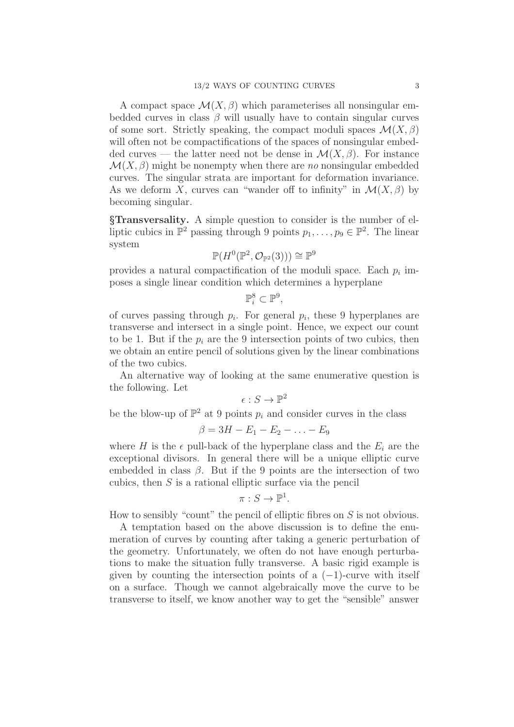A compact space  $\mathcal{M}(X,\beta)$  which parameterises all nonsingular embedded curves in class  $\beta$  will usually have to contain singular curves of some sort. Strictly speaking, the compact moduli spaces  $\mathcal{M}(X,\beta)$ will often not be compactifications of the spaces of nonsingular embedded curves — the latter need not be dense in  $\mathcal{M}(X,\beta)$ . For instance  $\mathcal{M}(X,\beta)$  might be nonempty when there are no nonsingular embedded curves. The singular strata are important for deformation invariance. As we deform X, curves can "wander off to infinity" in  $\mathcal{M}(X,\beta)$  by becoming singular.

§Transversality. A simple question to consider is the number of elliptic cubics in  $\mathbb{P}^2$  passing through 9 points  $p_1, \ldots, p_9 \in \mathbb{P}^2$ . The linear system

$$
\mathbb{P}(H^0(\mathbb{P}^2,\mathcal{O}_{\mathbb{P}^2}(3))) \cong \mathbb{P}^9
$$

provides a natural compactification of the moduli space. Each  $p_i$  imposes a single linear condition which determines a hyperplane

$$
\mathbb{P}^8_i \subset \mathbb{P}^9,
$$

of curves passing through  $p_i$ . For general  $p_i$ , these 9 hyperplanes are transverse and intersect in a single point. Hence, we expect our count to be 1. But if the  $p_i$  are the 9 intersection points of two cubics, then we obtain an entire pencil of solutions given by the linear combinations of the two cubics.

An alternative way of looking at the same enumerative question is the following. Let

$$
\epsilon: S \to \mathbb{P}^2
$$

be the blow-up of  $\mathbb{P}^2$  at 9 points  $p_i$  and consider curves in the class

$$
\beta=3H-E_1-E_2-\ldots-E_9
$$

where H is the  $\epsilon$  pull-back of the hyperplane class and the  $E_i$  are the exceptional divisors. In general there will be a unique elliptic curve embedded in class  $\beta$ . But if the 9 points are the intersection of two cubics, then S is a rational elliptic surface via the pencil

$$
\pi: S \to \mathbb{P}^1.
$$

How to sensibly "count" the pencil of elliptic fibres on  $S$  is not obvious.

A temptation based on the above discussion is to define the enumeration of curves by counting after taking a generic perturbation of the geometry. Unfortunately, we often do not have enough perturbations to make the situation fully transverse. A basic rigid example is given by counting the intersection points of a  $(-1)$ -curve with itself on a surface. Though we cannot algebraically move the curve to be transverse to itself, we know another way to get the "sensible" answer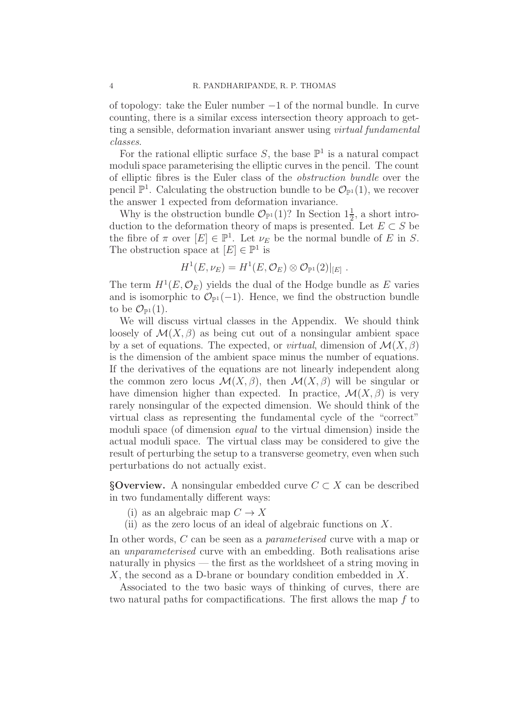of topology: take the Euler number −1 of the normal bundle. In curve counting, there is a similar excess intersection theory approach to getting a sensible, deformation invariant answer using virtual fundamental classes.

For the rational elliptic surface S, the base  $\mathbb{P}^1$  is a natural compact moduli space parameterising the elliptic curves in the pencil. The count of elliptic fibres is the Euler class of the obstruction bundle over the pencil  $\mathbb{P}^1$ . Calculating the obstruction bundle to be  $\mathcal{O}_{\mathbb{P}^1}(1)$ , we recover the answer 1 expected from deformation invariance.

Why is the obstruction bundle  $\mathcal{O}_{\mathbb{P}^1}(1)$ ? In Section  $1\frac{1}{2}$ , a short introduction to the deformation theory of maps is presented. Let  $E \subset S$  be the fibre of  $\pi$  over  $[E] \in \mathbb{P}^1$ . Let  $\nu_E$  be the normal bundle of E in S. The obstruction space at  $[E] \in \mathbb{P}^1$  is

$$
H^1(E,\nu_E)=H^1(E,\mathcal{O}_E)\otimes\mathcal{O}_{\mathbb{P}^1}(2)|_{[E]}.
$$

The term  $H^1(E, \mathcal{O}_E)$  yields the dual of the Hodge bundle as E varies and is isomorphic to  $\mathcal{O}_{\mathbb{P}^1}(-1)$ . Hence, we find the obstruction bundle to be  $\mathcal{O}_{\mathbb{P}^1}(1)$ .

We will discuss virtual classes in the Appendix. We should think loosely of  $\mathcal{M}(X,\beta)$  as being cut out of a nonsingular ambient space by a set of equations. The expected, or *virtual*, dimension of  $\mathcal{M}(X,\beta)$ is the dimension of the ambient space minus the number of equations. If the derivatives of the equations are not linearly independent along the common zero locus  $\mathcal{M}(X,\beta)$ , then  $\mathcal{M}(X,\beta)$  will be singular or have dimension higher than expected. In practice,  $\mathcal{M}(X,\beta)$  is very rarely nonsingular of the expected dimension. We should think of the virtual class as representing the fundamental cycle of the "correct" moduli space (of dimension *equal* to the virtual dimension) inside the actual moduli space. The virtual class may be considered to give the result of perturbing the setup to a transverse geometry, even when such perturbations do not actually exist.

§Overview. A nonsingular embedded curve  $C \subset X$  can be described in two fundamentally different ways:

- (i) as an algebraic map  $C \to X$
- (ii) as the zero locus of an ideal of algebraic functions on  $X$ .

In other words, C can be seen as a *parameterised* curve with a map or an unparameterised curve with an embedding. Both realisations arise naturally in physics — the first as the worldsheet of a string moving in X, the second as a D-brane or boundary condition embedded in X.

Associated to the two basic ways of thinking of curves, there are two natural paths for compactifications. The first allows the map f to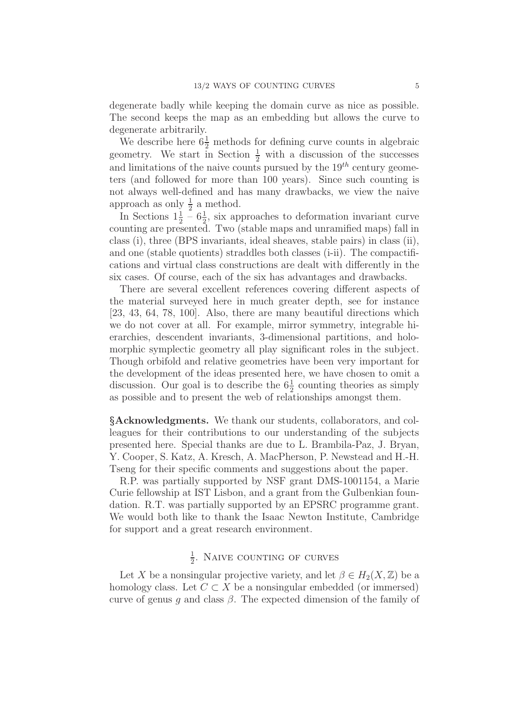degenerate badly while keeping the domain curve as nice as possible. The second keeps the map as an embedding but allows the curve to degenerate arbitrarily.

We describe here  $6\frac{1}{2}$  methods for defining curve counts in algebraic geometry. We start in Section  $\frac{1}{2}$  with a discussion of the successes and limitations of the naive counts pursued by the  $19^{th}$  century geometers (and followed for more than 100 years). Since such counting is not always well-defined and has many drawbacks, we view the naive approach as only  $\frac{1}{2}$  a method.

In Sections  $1\frac{1}{2} - 6\frac{1}{2}$ , six approaches to deformation invariant curve counting are presented. Two (stable maps and unramified maps) fall in class (i), three (BPS invariants, ideal sheaves, stable pairs) in class (ii), and one (stable quotients) straddles both classes (i-ii). The compactifications and virtual class constructions are dealt with differently in the six cases. Of course, each of the six has advantages and drawbacks.

There are several excellent references covering different aspects of the material surveyed here in much greater depth, see for instance [23, 43, 64, 78, 100]. Also, there are many beautiful directions which we do not cover at all. For example, mirror symmetry, integrable hierarchies, descendent invariants, 3-dimensional partitions, and holomorphic symplectic geometry all play significant roles in the subject. Though orbifold and relative geometries have been very important for the development of the ideas presented here, we have chosen to omit a discussion. Our goal is to describe the  $6\frac{1}{2}$  counting theories as simply as possible and to present the web of relationships amongst them.

§Acknowledgments. We thank our students, collaborators, and colleagues for their contributions to our understanding of the subjects presented here. Special thanks are due to L. Brambila-Paz, J. Bryan, Y. Cooper, S. Katz, A. Kresch, A. MacPherson, P. Newstead and H.-H. Tseng for their specific comments and suggestions about the paper.

R.P. was partially supported by NSF grant DMS-1001154, a Marie Curie fellowship at IST Lisbon, and a grant from the Gulbenkian foundation. R.T. was partially supported by an EPSRC programme grant. We would both like to thank the Isaac Newton Institute, Cambridge for support and a great research environment.

#### 1  $\frac{1}{2}$ . Naive counting of curves

Let X be a nonsingular projective variety, and let  $\beta \in H_2(X, \mathbb{Z})$  be a homology class. Let  $C \subset X$  be a nonsingular embedded (or immersed) curve of genus q and class  $\beta$ . The expected dimension of the family of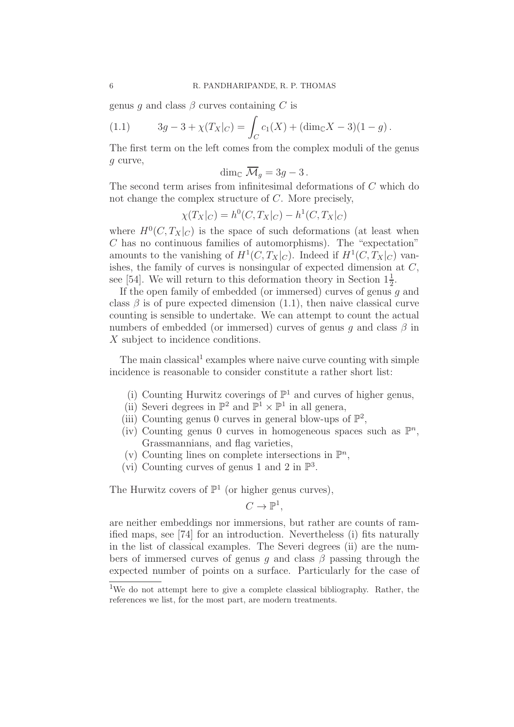genus q and class  $\beta$  curves containing C is

(1.1) 
$$
3g - 3 + \chi(T_X|_C) = \int_C c_1(X) + (\dim_{\mathbb{C}} X - 3)(1 - g).
$$

The first term on the left comes from the complex moduli of the genus g curve,

$$
\dim_{\mathbb{C}} \overline{\mathcal{M}}_g = 3g - 3.
$$

The second term arises from infinitesimal deformations of C which do not change the complex structure of C. More precisely,

$$
\chi(T_X|_C) = h^0(C, T_X|_C) - h^1(C, T_X|_C)
$$

where  $H^0(C, T_X|_C)$  is the space of such deformations (at least when C has no continuous families of automorphisms). The "expectation" amounts to the vanishing of  $H^1(C, T_X|_C)$ . Indeed if  $H^1(C, T_X|_C)$  vanishes, the family of curves is nonsingular of expected dimension at  $C$ , see [54]. We will return to this deformation theory in Section  $1\frac{1}{2}$ .

If the open family of embedded (or immersed) curves of genus  $q$  and class  $\beta$  is of pure expected dimension (1.1), then naive classical curve counting is sensible to undertake. We can attempt to count the actual numbers of embedded (or immersed) curves of genus q and class  $\beta$  in X subject to incidence conditions.

The main classical<sup>1</sup> examples where naive curve counting with simple incidence is reasonable to consider constitute a rather short list:

- (i) Counting Hurwitz coverings of  $\mathbb{P}^1$  and curves of higher genus,
- (ii) Severi degrees in  $\mathbb{P}^2$  and  $\mathbb{P}^1 \times \mathbb{P}^1$  in all genera,
- (iii) Counting genus 0 curves in general blow-ups of  $\mathbb{P}^2$ ,
- (iv) Counting genus 0 curves in homogeneous spaces such as  $\mathbb{P}^n$ , Grassmannians, and flag varieties,
- (v) Counting lines on complete intersections in  $\mathbb{P}^n$ ,
- (vi) Counting curves of genus 1 and 2 in  $\mathbb{P}^3$ .

The Hurwitz covers of  $\mathbb{P}^1$  (or higher genus curves),

$$
C\to \mathbb{P}^1,
$$

are neither embeddings nor immersions, but rather are counts of ramified maps, see [74] for an introduction. Nevertheless (i) fits naturally in the list of classical examples. The Severi degrees (ii) are the numbers of immersed curves of genus q and class  $\beta$  passing through the expected number of points on a surface. Particularly for the case of

<sup>1</sup>We do not attempt here to give a complete classical bibliography. Rather, the references we list, for the most part, are modern treatments.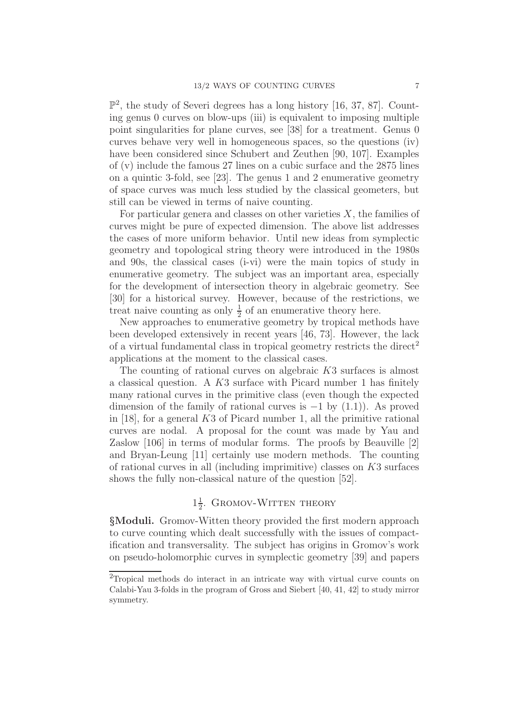$\mathbb{P}^2$ , the study of Severi degrees has a long history [16, 37, 87]. Counting genus 0 curves on blow-ups (iii) is equivalent to imposing multiple point singularities for plane curves, see [38] for a treatment. Genus 0 curves behave very well in homogeneous spaces, so the questions (iv) have been considered since Schubert and Zeuthen [90, 107]. Examples of (v) include the famous 27 lines on a cubic surface and the 2875 lines on a quintic 3-fold, see [23]. The genus 1 and 2 enumerative geometry of space curves was much less studied by the classical geometers, but still can be viewed in terms of naive counting.

For particular genera and classes on other varieties  $X$ , the families of curves might be pure of expected dimension. The above list addresses the cases of more uniform behavior. Until new ideas from symplectic geometry and topological string theory were introduced in the 1980s and 90s, the classical cases (i-vi) were the main topics of study in enumerative geometry. The subject was an important area, especially for the development of intersection theory in algebraic geometry. See [30] for a historical survey. However, because of the restrictions, we treat naive counting as only  $\frac{1}{2}$  of an enumerative theory here.

New approaches to enumerative geometry by tropical methods have been developed extensively in recent years [46, 73]. However, the lack of a virtual fundamental class in tropical geometry restricts the direct<sup>2</sup> applications at the moment to the classical cases.

The counting of rational curves on algebraic K3 surfaces is almost a classical question. A K3 surface with Picard number 1 has finitely many rational curves in the primitive class (even though the expected dimension of the family of rational curves is  $-1$  by  $(1.1)$ ). As proved in [18], for a general  $K3$  of Picard number 1, all the primitive rational curves are nodal. A proposal for the count was made by Yau and Zaslow [106] in terms of modular forms. The proofs by Beauville [2] and Bryan-Leung [11] certainly use modern methods. The counting of rational curves in all (including imprimitive) classes on K3 surfaces shows the fully non-classical nature of the question [52].

#### $1\frac{1}{2}$  $\frac{1}{2}$ . GROMOV-WITTEN THEORY

§Moduli. Gromov-Witten theory provided the first modern approach to curve counting which dealt successfully with the issues of compactification and transversality. The subject has origins in Gromov's work on pseudo-holomorphic curves in symplectic geometry [39] and papers

<sup>2</sup>Tropical methods do interact in an intricate way with virtual curve counts on Calabi-Yau 3-folds in the program of Gross and Siebert [40, 41, 42] to study mirror symmetry.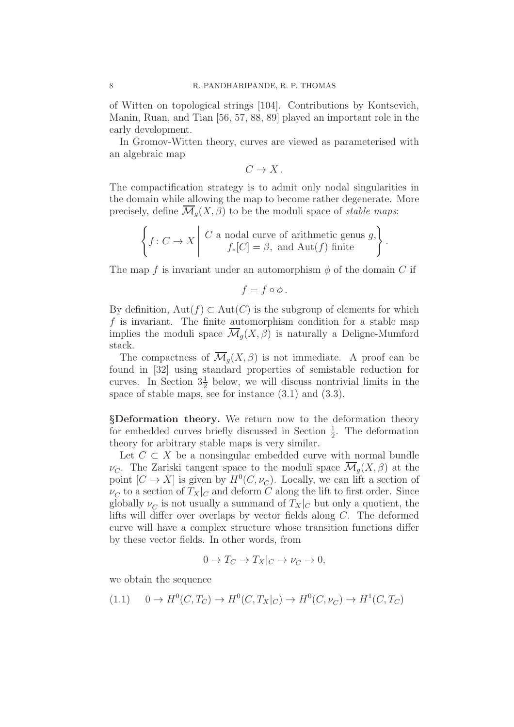of Witten on topological strings [104]. Contributions by Kontsevich, Manin, Ruan, and Tian [56, 57, 88, 89] played an important role in the early development.

In Gromov-Witten theory, curves are viewed as parameterised with an algebraic map

 $C \to X$ .

The compactification strategy is to admit only nodal singularities in the domain while allowing the map to become rather degenerate. More precisely, define  $\overline{\mathcal{M}}_q(X,\beta)$  to be the moduli space of stable maps:

$$
\left\{ f: C \to X \middle| \begin{array}{c} C \text{ a nodal curve of arithmetic genus } g, \\ f_*[C] = \beta, \text{ and Aut}(f) \text{ finite} \end{array} \right\}.
$$

The map f is invariant under an automorphism  $\phi$  of the domain C if

$$
f = f \circ \phi.
$$

By definition,  $Aut(f) \subset Aut(C)$  is the subgroup of elements for which f is invariant. The finite automorphism condition for a stable map implies the moduli space  $\overline{\mathcal{M}}_q(X,\beta)$  is naturally a Deligne-Mumford stack.

The compactness of  $\mathcal{M}_q(X,\beta)$  is not immediate. A proof can be found in [32] using standard properties of semistable reduction for curves. In Section  $3\frac{1}{2}$  below, we will discuss nontrivial limits in the space of stable maps, see for instance  $(3.1)$  and  $(3.3)$ .

§Deformation theory. We return now to the deformation theory for embedded curves briefly discussed in Section  $\frac{1}{2}$ . The deformation theory for arbitrary stable maps is very similar.

Let  $C \subset X$  be a nonsingular embedded curve with normal bundle  $\nu_C$ . The Zariski tangent space to the moduli space  $\mathcal{M}_g(X,\beta)$  at the point  $[C \to X]$  is given by  $H^0(C, \nu_C)$ . Locally, we can lift a section of  $\nu_C$  to a section of  $T_X|_C$  and deform C along the lift to first order. Since globally  $\nu_C$  is not usually a summand of  $T_X|_C$  but only a quotient, the lifts will differ over overlaps by vector fields along C. The deformed curve will have a complex structure whose transition functions differ by these vector fields. In other words, from

$$
0 \to T_C \to T_X|_C \to \nu_C \to 0,
$$

we obtain the sequence

$$
(1.1) \quad 0 \to H^0(C, T_C) \to H^0(C, T_X|_C) \to H^0(C, \nu_C) \to H^1(C, T_C)
$$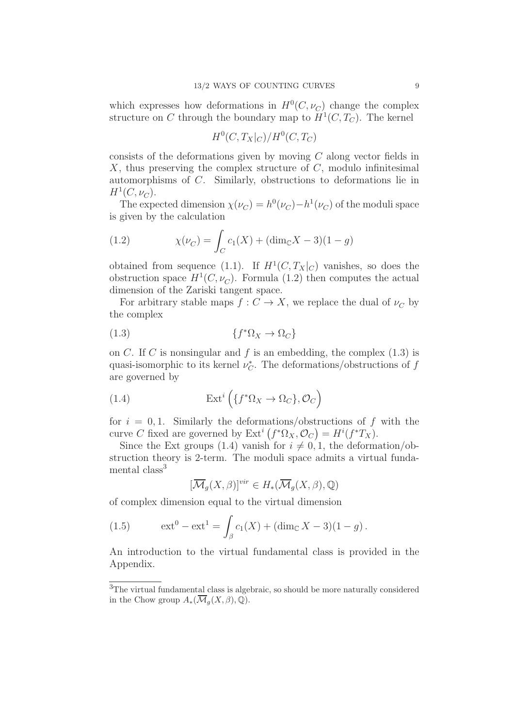which expresses how deformations in  $H^0(C, \nu_C)$  change the complex structure on C through the boundary map to  $H^1(C, T_C)$ . The kernel

$$
H^0(C, T_X|_C)/H^0(C, T_C)
$$

consists of the deformations given by moving C along vector fields in  $X$ , thus preserving the complex structure of  $C$ , modulo infinitesimal automorphisms of C. Similarly, obstructions to deformations lie in  $H^1(C, \nu_C)$ .

The expected dimension  $\chi(\nu_C) = h^0(\nu_C) - h^1(\nu_C)$  of the moduli space is given by the calculation

(1.2) 
$$
\chi(\nu_C) = \int_C c_1(X) + (\dim_{\mathbb{C}} X - 3)(1 - g)
$$

obtained from sequence (1.1). If  $H^1(C, T_X|_C)$  vanishes, so does the obstruction space  $H^1(C, \nu_C)$ . Formula (1.2) then computes the actual dimension of the Zariski tangent space.

For arbitrary stable maps  $f: C \to X$ , we replace the dual of  $\nu_C$  by the complex

$$
(1.3) \t\t \{f^*\Omega_X \to \Omega_C\}
$$

on C. If C is nonsingular and f is an embedding, the complex  $(1.3)$  is quasi-isomorphic to its kernel  $\nu_C^*$ . The deformations/obstructions of  $f$ are governed by

(1.4) 
$$
\operatorname{Ext}^i\left(\{f^*\Omega_X\to\Omega_C\},\mathcal{O}_C\right)
$$

for  $i = 0, 1$ . Similarly the deformations/obstructions of f with the curve C fixed are governed by  $\mathrm{Ext}^i(f^*\Omega_X, \mathcal{O}_C) = H^i(f^*T_X).$ 

Since the Ext groups (1.4) vanish for  $i \neq 0, 1$ , the deformation/obstruction theory is 2-term. The moduli space admits a virtual fundamental class<sup>3</sup>

$$
[\overline{\mathcal{M}}_g(X,\beta)]^{vir} \in H_*(\overline{\mathcal{M}}_g(X,\beta),\mathbb{Q})
$$

of complex dimension equal to the virtual dimension

(1.5) 
$$
\operatorname{ext}^0 - \operatorname{ext}^1 = \int_{\beta} c_1(X) + (\dim_{\mathbb{C}} X - 3)(1 - g).
$$

An introduction to the virtual fundamental class is provided in the Appendix.

<sup>3</sup>The virtual fundamental class is algebraic, so should be more naturally considered in the Chow group  $A_*(\overline{\mathcal{M}}_q(X,\beta),\overline{\mathbb{Q}})$ .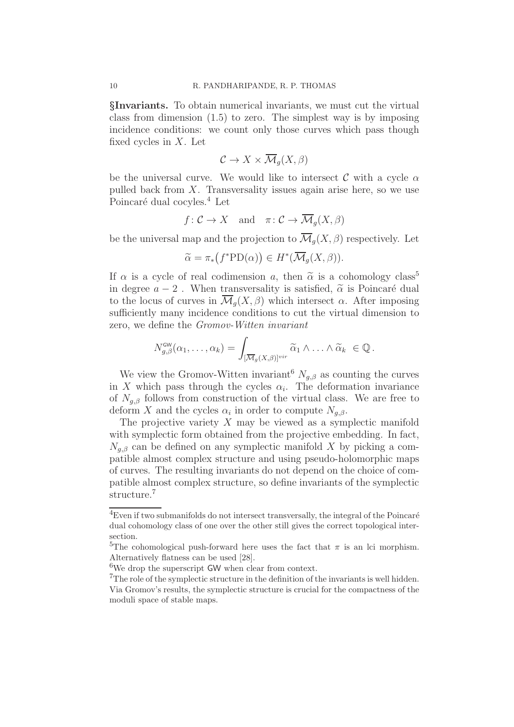§Invariants. To obtain numerical invariants, we must cut the virtual class from dimension (1.5) to zero. The simplest way is by imposing incidence conditions: we count only those curves which pass though fixed cycles in  $X$ . Let

$$
\mathcal{C} \to X \times \overline{\mathcal{M}}_g(X,\beta)
$$

be the universal curve. We would like to intersect  $\mathcal C$  with a cycle  $\alpha$ pulled back from  $X$ . Transversality issues again arise here, so we use Poincaré dual cocyles.<sup>4</sup> Let

$$
f: \mathcal{C} \to X
$$
 and  $\pi: \mathcal{C} \to \overline{\mathcal{M}}_g(X, \beta)$ 

be the universal map and the projection to  $\overline{\mathcal{M}}_q(X,\beta)$  respectively. Let

$$
\widetilde{\alpha} = \pi_* \big( f^* \mathrm{PD}(\alpha) \big) \in H^* (\overline{\mathcal{M}}_g(X, \beta)).
$$

If  $\alpha$  is a cycle of real codimension a, then  $\tilde{\alpha}$  is a cohomology class<sup>5</sup> in degree  $a - 2$ . When transversality is satisfied,  $\tilde{\alpha}$  is Poincaré dual to the locus of curves in  $\overline{\mathcal{M}}_q(X,\beta)$  which intersect  $\alpha$ . After imposing sufficiently many incidence conditions to cut the virtual dimension to zero, we define the Gromov-Witten invariant

$$
N_{g,\beta}^{\mathsf{GW}}(\alpha_1,\ldots,\alpha_k)=\int_{[\overline{\mathcal{M}}_g(X,\beta)]^{vir}} \widetilde{\alpha}_1\wedge\ldots\wedge \widetilde{\alpha}_k \in \mathbb{Q}.
$$

We view the Gromov-Witten invariant<sup>6</sup>  $N_{q,\beta}$  as counting the curves in X which pass through the cycles  $\alpha_i$ . The deformation invariance of  $N_{a,\beta}$  follows from construction of the virtual class. We are free to deform X and the cycles  $\alpha_i$  in order to compute  $N_{g,\beta}$ .

The projective variety  $X$  may be viewed as a symplectic manifold with symplectic form obtained from the projective embedding. In fact,  $N_{a,\beta}$  can be defined on any symplectic manifold X by picking a compatible almost complex structure and using pseudo-holomorphic maps of curves. The resulting invariants do not depend on the choice of compatible almost complex structure, so define invariants of the symplectic structure.<sup>7</sup>

 ${}^{4}$ Even if two submanifolds do not intersect transversally, the integral of the Poincaré dual cohomology class of one over the other still gives the correct topological intersection.

<sup>&</sup>lt;sup>5</sup>The cohomological push-forward here uses the fact that  $\pi$  is an lci morphism. Alternatively flatness can be used [28].

<sup>6</sup>We drop the superscript GW when clear from context.

<sup>7</sup>The role of the symplectic structure in the definition of the invariants is well hidden. Via Gromov's results, the symplectic structure is crucial for the compactness of the moduli space of stable maps.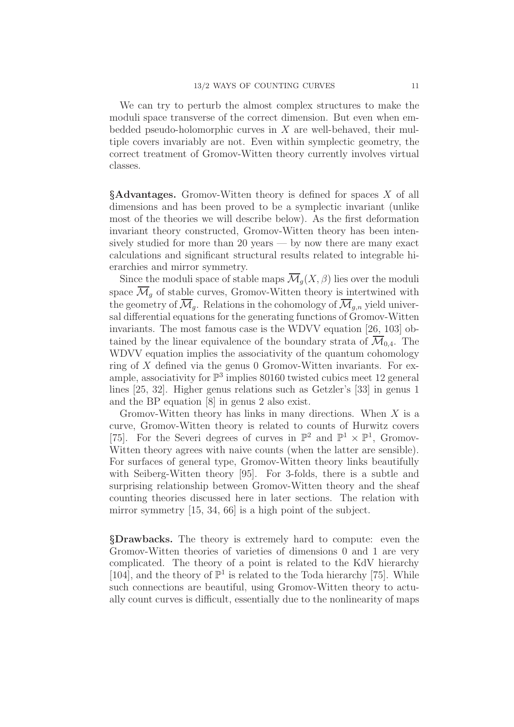We can try to perturb the almost complex structures to make the moduli space transverse of the correct dimension. But even when embedded pseudo-holomorphic curves in  $X$  are well-behaved, their multiple covers invariably are not. Even within symplectic geometry, the correct treatment of Gromov-Witten theory currently involves virtual classes.

§Advantages. Gromov-Witten theory is defined for spaces X of all dimensions and has been proved to be a symplectic invariant (unlike most of the theories we will describe below). As the first deformation invariant theory constructed, Gromov-Witten theory has been intensively studied for more than 20 years  $-$  by now there are many exact calculations and significant structural results related to integrable hierarchies and mirror symmetry.

Since the moduli space of stable maps  $\overline{\mathcal{M}}_q(X,\beta)$  lies over the moduli space  $\overline{\mathcal{M}}_g$  of stable curves, Gromov-Witten theory is intertwined with the geometry of  $\overline{\mathcal{M}}_q$ . Relations in the cohomology of  $\overline{\mathcal{M}}_{q,n}$  yield universal differential equations for the generating functions of Gromov-Witten invariants. The most famous case is the WDVV equation [26, 103] obtained by the linear equivalence of the boundary strata of  $\mathcal{M}_{0,4}$ . The WDVV equation implies the associativity of the quantum cohomology ring of X defined via the genus 0 Gromov-Witten invariants. For example, associativity for  $\mathbb{P}^3$  implies 80160 twisted cubics meet 12 general lines [25, 32]. Higher genus relations such as Getzler's [33] in genus 1 and the BP equation [8] in genus 2 also exist.

Gromov-Witten theory has links in many directions. When  $X$  is a curve, Gromov-Witten theory is related to counts of Hurwitz covers [75]. For the Severi degrees of curves in  $\mathbb{P}^2$  and  $\mathbb{P}^1 \times \mathbb{P}^1$ , Gromov-Witten theory agrees with naive counts (when the latter are sensible). For surfaces of general type, Gromov-Witten theory links beautifully with Seiberg-Witten theory [95]. For 3-folds, there is a subtle and surprising relationship between Gromov-Witten theory and the sheaf counting theories discussed here in later sections. The relation with mirror symmetry [15, 34, 66] is a high point of the subject.

§Drawbacks. The theory is extremely hard to compute: even the Gromov-Witten theories of varieties of dimensions 0 and 1 are very complicated. The theory of a point is related to the KdV hierarchy [104], and the theory of  $\mathbb{P}^1$  is related to the Toda hierarchy [75]. While such connections are beautiful, using Gromov-Witten theory to actually count curves is difficult, essentially due to the nonlinearity of maps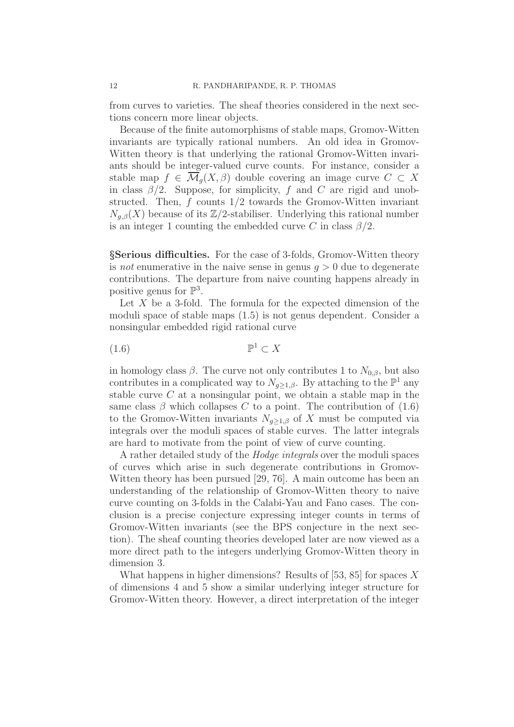from curves to varieties. The sheaf theories considered in the next sections concern more linear objects.

Because of the finite automorphisms of stable maps, Gromov-Witten invariants are typically rational numbers. An old idea in Gromov-Witten theory is that underlying the rational Gromov-Witten invariants should be integer-valued curve counts. For instance, consider a stable map  $f \in \mathcal{M}_q(X,\beta)$  double covering an image curve  $C \subset X$ in class  $\beta/2$ . Suppose, for simplicity, f and C are rigid and unobstructed. Then,  $f$  counts  $1/2$  towards the Gromov-Witten invariant  $N_{a,\beta}(X)$  because of its  $\mathbb{Z}/2$ -stabiliser. Underlying this rational number is an integer 1 counting the embedded curve C in class  $\beta/2$ .

§Serious difficulties. For the case of 3-folds, Gromov-Witten theory is *not* enumerative in the naive sense in genus  $q > 0$  due to degenerate contributions. The departure from naive counting happens already in positive genus for  $\mathbb{P}^3$ .

Let  $X$  be a 3-fold. The formula for the expected dimension of the moduli space of stable maps (1.5) is not genus dependent. Consider a nonsingular embedded rigid rational curve

$$
(1.6) \t\t\t \mathbb{P}^1 \subset X
$$

in homology class  $\beta$ . The curve not only contributes 1 to  $N_{0,\beta}$ , but also contributes in a complicated way to  $N_{g\geq 1,\beta}$ . By attaching to the  $\mathbb{P}^1$  any stable curve  $C$  at a nonsingular point, we obtain a stable map in the same class  $\beta$  which collapses C to a point. The contribution of (1.6) to the Gromov-Witten invariants  $N_{g\geq 1,\beta}$  of X must be computed via integrals over the moduli spaces of stable curves. The latter integrals are hard to motivate from the point of view of curve counting.

A rather detailed study of the Hodge integrals over the moduli spaces of curves which arise in such degenerate contributions in Gromov-Witten theory has been pursued [29, 76]. A main outcome has been an understanding of the relationship of Gromov-Witten theory to naive curve counting on 3-folds in the Calabi-Yau and Fano cases. The conclusion is a precise conjecture expressing integer counts in terms of Gromov-Witten invariants (see the BPS conjecture in the next section). The sheaf counting theories developed later are now viewed as a more direct path to the integers underlying Gromov-Witten theory in dimension 3.

What happens in higher dimensions? Results of  $[53, 85]$  for spaces X of dimensions 4 and 5 show a similar underlying integer structure for Gromov-Witten theory. However, a direct interpretation of the integer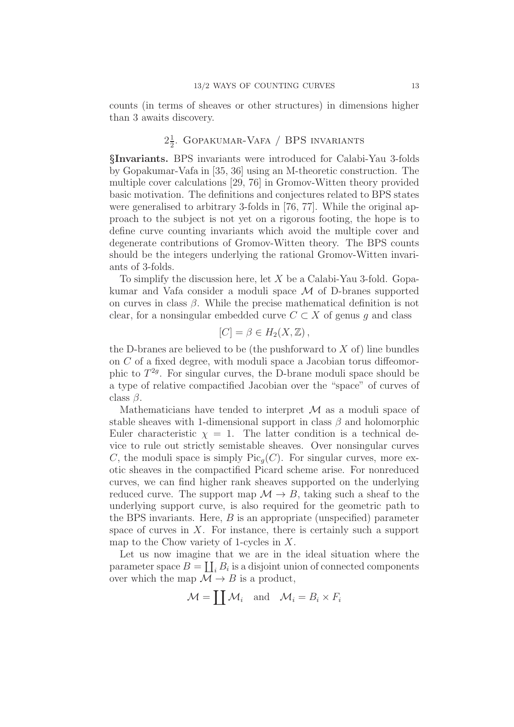counts (in terms of sheaves or other structures) in dimensions higher than 3 awaits discovery.

#### $2\frac{1}{2}$  $\frac{1}{2}$ . Gopakumar-Vafa / BPS invariants

§Invariants. BPS invariants were introduced for Calabi-Yau 3-folds by Gopakumar-Vafa in [35, 36] using an M-theoretic construction. The multiple cover calculations [29, 76] in Gromov-Witten theory provided basic motivation. The definitions and conjectures related to BPS states were generalised to arbitrary 3-folds in [76, 77]. While the original approach to the subject is not yet on a rigorous footing, the hope is to define curve counting invariants which avoid the multiple cover and degenerate contributions of Gromov-Witten theory. The BPS counts should be the integers underlying the rational Gromov-Witten invariants of 3-folds.

To simplify the discussion here, let  $X$  be a Calabi-Yau 3-fold. Gopakumar and Vafa consider a moduli space  $\mathcal M$  of D-branes supported on curves in class  $\beta$ . While the precise mathematical definition is not clear, for a nonsingular embedded curve  $C \subset X$  of genus g and class

$$
[C] = \beta \in H_2(X, \mathbb{Z}),
$$

the D-branes are believed to be (the pushforward to  $X$  of) line bundles on C of a fixed degree, with moduli space a Jacobian torus diffeomorphic to  $T^{2g}$ . For singular curves, the D-brane moduli space should be a type of relative compactified Jacobian over the "space" of curves of class  $\beta$ .

Mathematicians have tended to interpret  $\mathcal M$  as a moduli space of stable sheaves with 1-dimensional support in class  $\beta$  and holomorphic Euler characteristic  $\chi = 1$ . The latter condition is a technical device to rule out strictly semistable sheaves. Over nonsingular curves C, the moduli space is simply  $Pic_a(C)$ . For singular curves, more exotic sheaves in the compactified Picard scheme arise. For nonreduced curves, we can find higher rank sheaves supported on the underlying reduced curve. The support map  $\mathcal{M} \to B$ , taking such a sheaf to the underlying support curve, is also required for the geometric path to the BPS invariants. Here,  $B$  is an appropriate (unspecified) parameter space of curves in  $X$ . For instance, there is certainly such a support map to the Chow variety of 1-cycles in  $X$ .

Let us now imagine that we are in the ideal situation where the parameter space  $B = \coprod_i B_i$  is a disjoint union of connected components over which the map  $\mathcal{M} \to B$  is a product,

$$
\mathcal{M} = \coprod \mathcal{M}_i \quad \text{and} \quad \mathcal{M}_i = B_i \times F_i
$$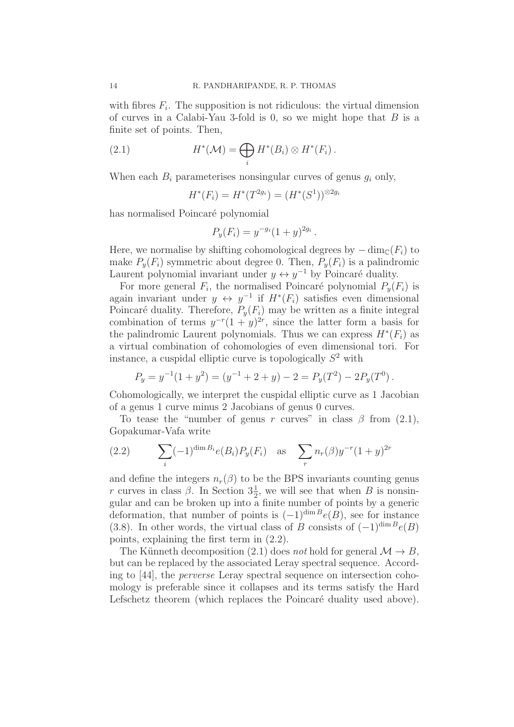with fibres  $F_i$ . The supposition is not ridiculous: the virtual dimension of curves in a Calabi-Yau 3-fold is  $0$ , so we might hope that  $B$  is a finite set of points. Then,

(2.1) 
$$
H^*(\mathcal{M}) = \bigoplus_i H^*(B_i) \otimes H^*(F_i).
$$

When each  $B_i$  parameterises nonsingular curves of genus  $q_i$  only,

$$
H^*(F_i) = H^*(T^{2g_i}) = (H^*(S^1))^{\otimes 2g_i}
$$

has normalised Poincaré polynomial

$$
P_y(F_i) = y^{-g_i}(1+y)^{2g_i}.
$$

Here, we normalise by shifting cohomological degrees by  $-\dim_{\mathbb{C}}(F_i)$  to make  $P_{\nu}(F_i)$  symmetric about degree 0. Then,  $P_{\nu}(F_i)$  is a palindromic Laurent polynomial invariant under  $y \leftrightarrow y^{-1}$  by Poincaré duality.

For more general  $F_i$ , the normalised Poincaré polynomial  $P_y(F_i)$  is again invariant under  $y \leftrightarrow y^{-1}$  if  $H^*(F_i)$  satisfies even dimensional Poincaré duality. Therefore,  $P_y(F_i)$  may be written as a finite integral combination of terms  $y^{-r}(1+y)^{2r}$ , since the latter form a basis for the palindromic Laurent polynomials. Thus we can express  $H^*(F_i)$  as a virtual combination of cohomologies of even dimensional tori. For instance, a cuspidal elliptic curve is topologically  $S^2$  with

$$
P_y = y^{-1}(1 + y^2) = (y^{-1} + 2 + y) - 2 = P_y(T^2) - 2P_y(T^0).
$$

Cohomologically, we interpret the cuspidal elliptic curve as 1 Jacobian of a genus 1 curve minus 2 Jacobians of genus 0 curves.

To tease the "number of genus r curves" in class  $\beta$  from (2.1), Gopakumar-Vafa write

(2.2) 
$$
\sum_{i} (-1)^{\dim B_i} e(B_i) P_y(F_i) \text{ as } \sum_{r} n_r(\beta) y^{-r} (1+y)^{2r}
$$

and define the integers  $n_r(\beta)$  to be the BPS invariants counting genus r curves in class  $\beta$ . In Section  $3\frac{1}{2}$ , we will see that when B is nonsingular and can be broken up into a finite number of points by a generic deformation, that number of points is  $(-1)^{\dim B}e(B)$ , see for instance (3.8). In other words, the virtual class of B consists of  $(-1)^{\dim B}e(B)$ points, explaining the first term in (2.2).

The Künneth decomposition (2.1) does not hold for general  $\mathcal{M} \to B$ , but can be replaced by the associated Leray spectral sequence. According to [44], the perverse Leray spectral sequence on intersection cohomology is preferable since it collapses and its terms satisfy the Hard Lefschetz theorem (which replaces the Poincaré duality used above).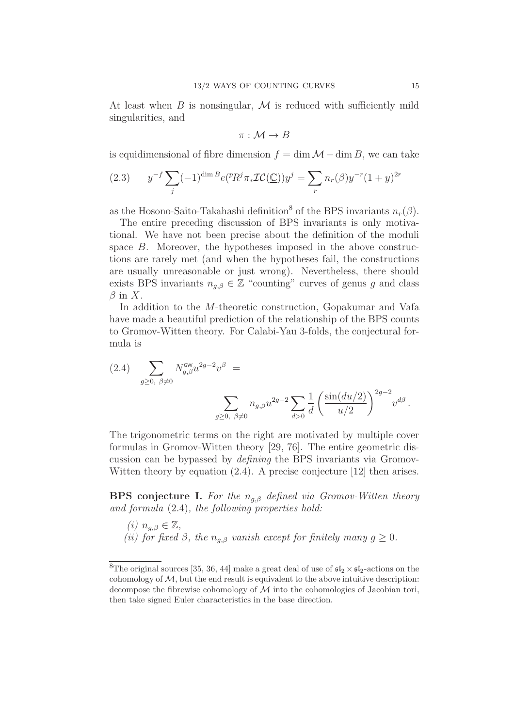At least when  $B$  is nonsingular,  $\mathcal M$  is reduced with sufficiently mild singularities, and

$$
\pi: \mathcal{M} \to B
$$

is equidimensional of fibre dimension  $f = \dim \mathcal{M} - \dim B$ , we can take

(2.3) 
$$
y^{-f} \sum_{j} (-1)^{\dim B} e(PR^j \pi_* \mathcal{IC}(\underline{\mathbb{C}})) y^j = \sum_{r} n_r(\beta) y^{-r} (1+y)^{2r}
$$

as the Hosono-Saito-Takahashi definition<sup>8</sup> of the BPS invariants  $n_r(\beta)$ .

The entire preceding discussion of BPS invariants is only motivational. We have not been precise about the definition of the moduli space B. Moreover, the hypotheses imposed in the above constructions are rarely met (and when the hypotheses fail, the constructions are usually unreasonable or just wrong). Nevertheless, there should exists BPS invariants  $n_{q,\beta} \in \mathbb{Z}$  "counting" curves of genus g and class  $\beta$  in X.

In addition to the M-theoretic construction, Gopakumar and Vafa have made a beautiful prediction of the relationship of the BPS counts to Gromov-Witten theory. For Calabi-Yau 3-folds, the conjectural formula is

(2.4) 
$$
\sum_{g\geq 0, \ \beta \neq 0} N_{g,\beta}^{\mathsf{cw}} u^{2g-2} v^{\beta} = \sum_{g\geq 0, \ \beta \neq 0} n_{g,\beta} u^{2g-2} \sum_{d>0} \frac{1}{d} \left( \frac{\sin(du/2)}{u/2} \right)^{2g-2} v^{d\beta}.
$$

The trigonometric terms on the right are motivated by multiple cover formulas in Gromov-Witten theory [29, 76]. The entire geometric discussion can be bypassed by defining the BPS invariants via Gromov-Witten theory by equation (2.4). A precise conjecture [12] then arises.

**BPS** conjecture I. For the  $n_{q,\beta}$  defined via Gromov-Witten theory and formula (2.4), the following properties hold:

(i)  $n_{q,\beta} \in \mathbb{Z}$ , (ii) for fixed  $\beta$ , the n<sub>a,β</sub> vanish except for finitely many  $q \ge 0$ .

<sup>&</sup>lt;sup>8</sup>The original sources [35, 36, 44] make a great deal of use of  $\mathfrak{sl}_2 \times \mathfrak{sl}_2$ -actions on the cohomology of  $M$ , but the end result is equivalent to the above intuitive description: decompose the fibrewise cohomology of  $M$  into the cohomologies of Jacobian tori, then take signed Euler characteristics in the base direction.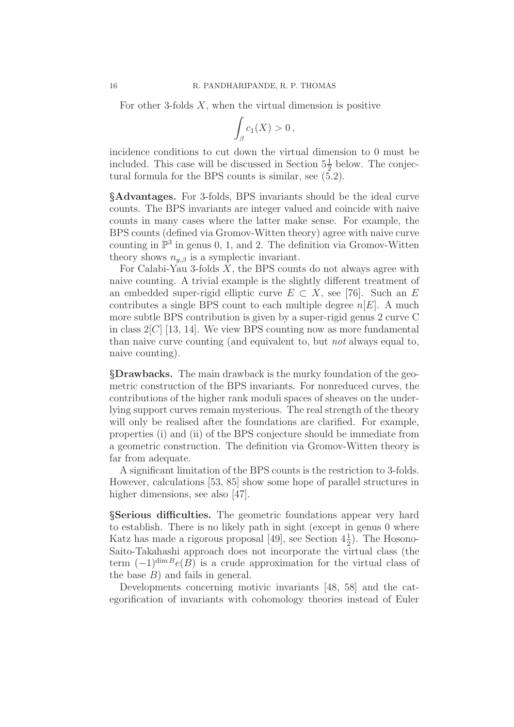For other 3-folds  $X$ , when the virtual dimension is positive

$$
\int_{\beta} c_1(X) > 0,
$$

incidence conditions to cut down the virtual dimension to 0 must be included. This case will be discussed in Section  $5\frac{1}{2}$  below. The conjectural formula for the BPS counts is similar, see  $(5.2)$ .

§Advantages. For 3-folds, BPS invariants should be the ideal curve counts. The BPS invariants are integer valued and coincide with naive counts in many cases where the latter make sense. For example, the BPS counts (defined via Gromov-Witten theory) agree with naive curve counting in  $\mathbb{P}^3$  in genus 0, 1, and 2. The definition via Gromov-Witten theory shows  $n_{q,\beta}$  is a symplectic invariant.

For Calabi-Yau 3-folds  $X$ , the BPS counts do not always agree with naive counting. A trivial example is the slightly different treatment of an embedded super-rigid elliptic curve  $E \subset X$ , see [76]. Such an E contributes a single BPS count to each multiple degree  $n[E]$ . A much more subtle BPS contribution is given by a super-rigid genus 2 curve C in class  $2\mathbb{C}$  [13, 14]. We view BPS counting now as more fundamental than naive curve counting (and equivalent to, but not always equal to, naive counting).

§Drawbacks. The main drawback is the murky foundation of the geometric construction of the BPS invariants. For nonreduced curves, the contributions of the higher rank moduli spaces of sheaves on the underlying support curves remain mysterious. The real strength of the theory will only be realised after the foundations are clarified. For example, properties (i) and (ii) of the BPS conjecture should be immediate from a geometric construction. The definition via Gromov-Witten theory is far from adequate.

A significant limitation of the BPS counts is the restriction to 3-folds. However, calculations [53, 85] show some hope of parallel structures in higher dimensions, see also [47].

§Serious difficulties. The geometric foundations appear very hard to establish. There is no likely path in sight (except in genus 0 where Katz has made a rigorous proposal [49], see Section  $4\frac{1}{2}$ ). The Hosono-Saito-Takahashi approach does not incorporate the virtual class (the term  $(-1)^{\dim B}e(B)$  is a crude approximation for the virtual class of the base  $B$ ) and fails in general.

Developments concerning motivic invariants [48, 58] and the categorification of invariants with cohomology theories instead of Euler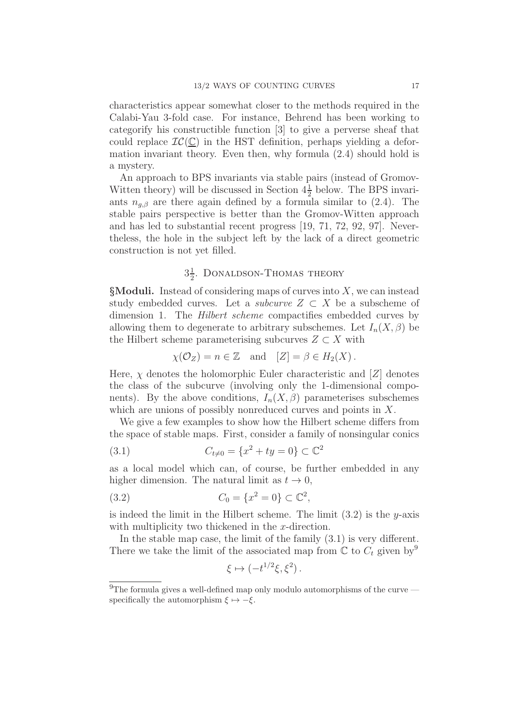characteristics appear somewhat closer to the methods required in the Calabi-Yau 3-fold case. For instance, Behrend has been working to categorify his constructible function [3] to give a perverse sheaf that could replace  $\mathcal{IC}(\mathbb{C})$  in the HST definition, perhaps yielding a deformation invariant theory. Even then, why formula (2.4) should hold is a mystery.

An approach to BPS invariants via stable pairs (instead of Gromov-Witten theory) will be discussed in Section  $4\frac{1}{2}$  below. The BPS invariants  $n_{a,\beta}$  are there again defined by a formula similar to (2.4). The stable pairs perspective is better than the Gromov-Witten approach and has led to substantial recent progress [19, 71, 72, 92, 97]. Nevertheless, the hole in the subject left by the lack of a direct geometric construction is not yet filled.

#### $3\frac{1}{2}$  $\frac{1}{2}$ . DONALDSON-THOMAS THEORY

 $\mathcal{S}_{\mathcal{A}}$  Moduli. Instead of considering maps of curves into X, we can instead study embedded curves. Let a *subcurve*  $Z \subset X$  be a subscheme of dimension 1. The *Hilbert scheme* compactifies embedded curves by allowing them to degenerate to arbitrary subschemes. Let  $I_n(X, \beta)$  be the Hilbert scheme parameterising subcurves  $Z \subset X$  with

$$
\chi(\mathcal{O}_Z) = n \in \mathbb{Z}
$$
 and  $[Z] = \beta \in H_2(X)$ .

Here,  $\chi$  denotes the holomorphic Euler characteristic and [Z] denotes the class of the subcurve (involving only the 1-dimensional components). By the above conditions,  $I_n(X, \beta)$  parameterises subschemes which are unions of possibly nonreduced curves and points in X.

We give a few examples to show how the Hilbert scheme differs from the space of stable maps. First, consider a family of nonsingular conics

(3.1) 
$$
C_{t\neq 0} = \{x^2 + ty = 0\} \subset \mathbb{C}^2
$$

as a local model which can, of course, be further embedded in any higher dimension. The natural limit as  $t \to 0$ ,

(3.2) 
$$
C_0 = \{x^2 = 0\} \subset \mathbb{C}^2,
$$

is indeed the limit in the Hilbert scheme. The limit  $(3.2)$  is the y-axis with multiplicity two thickened in the x-direction.

In the stable map case, the limit of the family (3.1) is very different. There we take the limit of the associated map from  $\mathbb C$  to  $C_t$  given by

$$
\xi \mapsto (-t^{1/2}\xi, \xi^2).
$$

<sup>&</sup>lt;sup>9</sup>The formula gives a well-defined map only modulo automorphisms of the curve specifically the automorphism  $\xi \mapsto -\xi$ .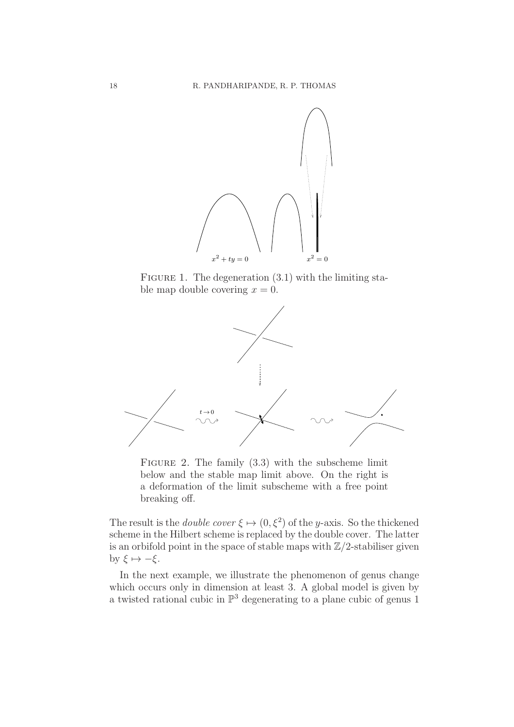

FIGURE 1. The degeneration  $(3.1)$  with the limiting stable map double covering  $x = 0$ .



FIGURE 2. The family  $(3.3)$  with the subscheme limit below and the stable map limit above. On the right is a deformation of the limit subscheme with a free point breaking off.

The result is the *double cover*  $\xi \mapsto (0, \xi^2)$  of the y-axis. So the thickened scheme in the Hilbert scheme is replaced by the double cover. The latter is an orbifold point in the space of stable maps with  $\mathbb{Z}/2$ -stabiliser given by  $\xi \mapsto -\xi$ .

In the next example, we illustrate the phenomenon of genus change which occurs only in dimension at least 3. A global model is given by a twisted rational cubic in  $\mathbb{P}^3$  degenerating to a plane cubic of genus 1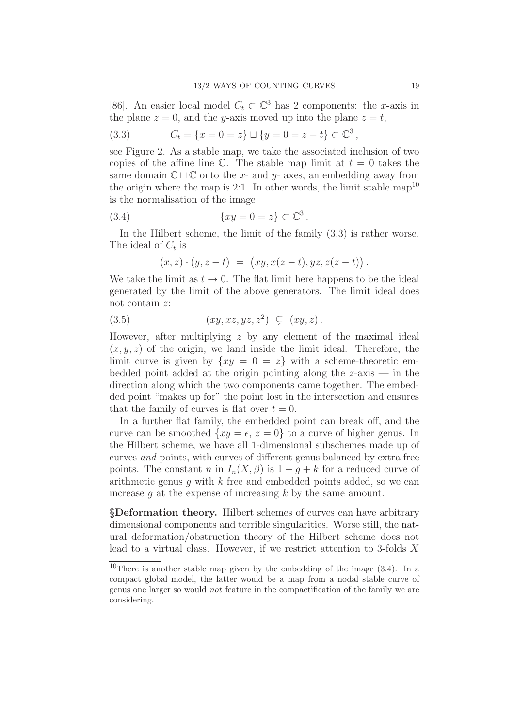[86]. An easier local model  $C_t \subset \mathbb{C}^3$  has 2 components: the x-axis in the plane  $z = 0$ , and the y-axis moved up into the plane  $z = t$ ,

(3.3) 
$$
C_t = \{x = 0 = z\} \sqcup \{y = 0 = z - t\} \subset \mathbb{C}^3,
$$

see Figure 2. As a stable map, we take the associated inclusion of two copies of the affine line  $\mathbb{C}$ . The stable map limit at  $t = 0$  takes the same domain  $\mathbb{C} \sqcup \mathbb{C}$  onto the x- and y- axes, an embedding away from the origin where the map is 2:1. In other words, the limit stable map<sup>10</sup> is the normalisation of the image

$$
(3.4) \t\t\t \{xy = 0 = z\} \subset \mathbb{C}^3.
$$

In the Hilbert scheme, the limit of the family (3.3) is rather worse. The ideal of  $C_t$  is

$$
(x,z)\cdot (y,z-t) ~=~ \big(xy,x(z-t),yz,z(z-t)\big){\,}.
$$

We take the limit as  $t \to 0$ . The flat limit here happens to be the ideal generated by the limit of the above generators. The limit ideal does not contain z:

$$
(3.5) \t\t (xy, xz, yz, z^2) \subsetneq (xy, z).
$$

However, after multiplying  $z$  by any element of the maximal ideal  $(x, y, z)$  of the origin, we land inside the limit ideal. Therefore, the limit curve is given by  $\{xy = 0 = z\}$  with a scheme-theoretic embedded point added at the origin pointing along the  $z$ -axis  $-$  in the direction along which the two components came together. The embedded point "makes up for" the point lost in the intersection and ensures that the family of curves is flat over  $t = 0$ .

In a further flat family, the embedded point can break off, and the curve can be smoothed  $\{xy = \epsilon, z = 0\}$  to a curve of higher genus. In the Hilbert scheme, we have all 1-dimensional subschemes made up of curves and points, with curves of different genus balanced by extra free points. The constant n in  $I_n(X, \beta)$  is  $1 - q + k$  for a reduced curve of arithmetic genus q with  $k$  free and embedded points added, so we can increase q at the expense of increasing  $k$  by the same amount.

§Deformation theory. Hilbert schemes of curves can have arbitrary dimensional components and terrible singularities. Worse still, the natural deformation/obstruction theory of the Hilbert scheme does not lead to a virtual class. However, if we restrict attention to 3-folds  $X$ 

<sup>&</sup>lt;sup>10</sup>There is another stable map given by the embedding of the image  $(3.4)$ . In a compact global model, the latter would be a map from a nodal stable curve of genus one larger so would not feature in the compactification of the family we are considering.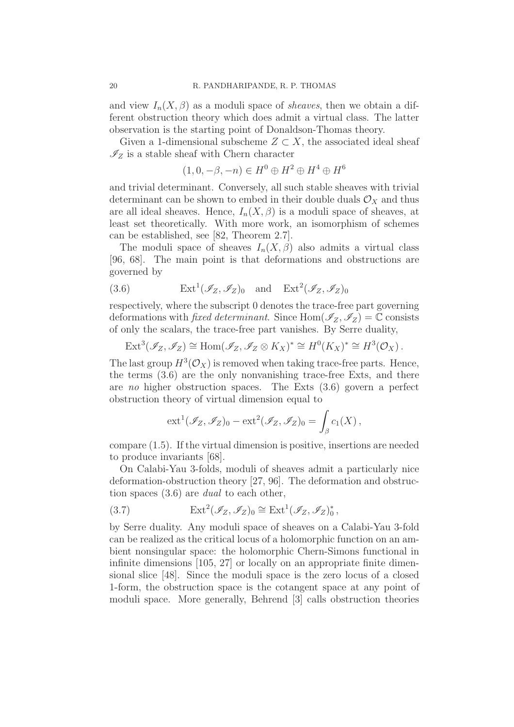and view  $I_n(X, \beta)$  as a moduli space of *sheaves*, then we obtain a different obstruction theory which does admit a virtual class. The latter observation is the starting point of Donaldson-Thomas theory.

Given a 1-dimensional subscheme  $Z \subset X$ , the associated ideal sheaf  $\mathscr{I}_Z$  is a stable sheaf with Chern character

$$
(1,0,-\beta,-n) \in H^0 \oplus H^2 \oplus H^4 \oplus H^6
$$

and trivial determinant. Conversely, all such stable sheaves with trivial determinant can be shown to embed in their double duals  $\mathcal{O}_X$  and thus are all ideal sheaves. Hence,  $I_n(X, \beta)$  is a moduli space of sheaves, at least set theoretically. With more work, an isomorphism of schemes can be established, see [82, Theorem 2.7].

The moduli space of sheaves  $I_n(X,\beta)$  also admits a virtual class [96, 68]. The main point is that deformations and obstructions are governed by

(3.6) 
$$
\operatorname{Ext}^1(\mathscr{I}_Z, \mathscr{I}_Z)_0 \quad \text{and} \quad \operatorname{Ext}^2(\mathscr{I}_Z, \mathscr{I}_Z)_0
$$

respectively, where the subscript 0 denotes the trace-free part governing deformations with *fixed determinant*. Since  $Hom(\mathscr{I}_Z, \mathscr{I}_Z) = \mathbb{C}$  consists of only the scalars, the trace-free part vanishes. By Serre duality,

$$
\text{Ext}^3(\mathscr{I}_Z,\mathscr{I}_Z)\cong \text{Hom}(\mathscr{I}_Z,\mathscr{I}_Z\otimes K_X)^*\cong H^0(K_X)^*\cong H^3(\mathcal{O}_X)\,.
$$

The last group  $H^3(\mathcal{O}_X)$  is removed when taking trace-free parts. Hence, the terms (3.6) are the only nonvanishing trace-free Exts, and there are no higher obstruction spaces. The Exts (3.6) govern a perfect obstruction theory of virtual dimension equal to

$$
\mathrm{ext}^{1}(\mathscr{I}_{Z},\mathscr{I}_{Z})_{0}-\mathrm{ext}^{2}(\mathscr{I}_{Z},\mathscr{I}_{Z})_{0}=\int_{\beta}c_{1}(X),
$$

compare (1.5). If the virtual dimension is positive, insertions are needed to produce invariants [68].

On Calabi-Yau 3-folds, moduli of sheaves admit a particularly nice deformation-obstruction theory [27, 96]. The deformation and obstruction spaces (3.6) are dual to each other,

(3.7) 
$$
\operatorname{Ext}^2(\mathscr{I}_Z,\mathscr{I}_Z)_0 \cong \operatorname{Ext}^1(\mathscr{I}_Z,\mathscr{I}_Z)_0^*,
$$

by Serre duality. Any moduli space of sheaves on a Calabi-Yau 3-fold can be realized as the critical locus of a holomorphic function on an ambient nonsingular space: the holomorphic Chern-Simons functional in infinite dimensions [105, 27] or locally on an appropriate finite dimensional slice [48]. Since the moduli space is the zero locus of a closed 1-form, the obstruction space is the cotangent space at any point of moduli space. More generally, Behrend [3] calls obstruction theories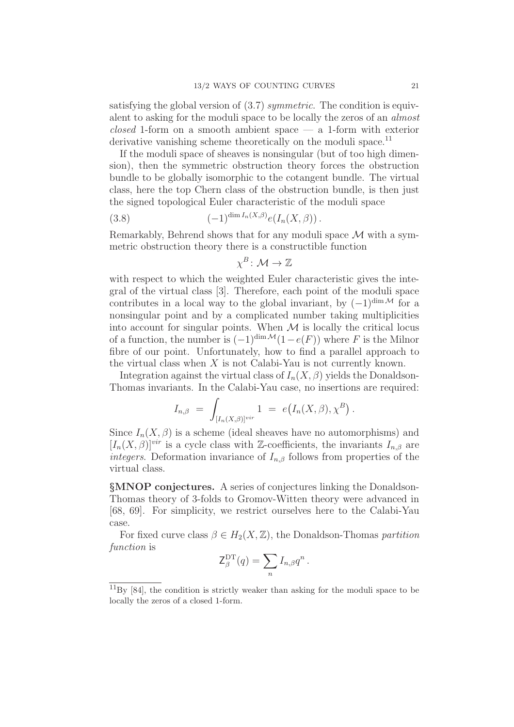satisfying the global version of  $(3.7)$  symmetric. The condition is equivalent to asking for the moduli space to be locally the zeros of an almost closed 1-form on a smooth ambient space — a 1-form with exterior derivative vanishing scheme theoretically on the moduli space.<sup>11</sup>

If the moduli space of sheaves is nonsingular (but of too high dimension), then the symmetric obstruction theory forces the obstruction bundle to be globally isomorphic to the cotangent bundle. The virtual class, here the top Chern class of the obstruction bundle, is then just the signed topological Euler characteristic of the moduli space

$$
(3.8) \qquad \qquad (-1)^{\dim I_n(X,\beta)}e(I_n(X,\beta))\,.
$$

Remarkably, Behrend shows that for any moduli space  $\mathcal M$  with a symmetric obstruction theory there is a constructible function

$$
\chi^B\colon \mathcal{M}\to \mathbb{Z}
$$

with respect to which the weighted Euler characteristic gives the integral of the virtual class [3]. Therefore, each point of the moduli space contributes in a local way to the global invariant, by  $(-1)^{\dim M}$  for a nonsingular point and by a complicated number taking multiplicities into account for singular points. When  $M$  is locally the critical locus of a function, the number is  $(-1)^{\dim M}(1-e(F))$  where F is the Milnor fibre of our point. Unfortunately, how to find a parallel approach to the virtual class when  $X$  is not Calabi-Yau is not currently known.

Integration against the virtual class of  $I_n(X, \beta)$  yields the Donaldson-Thomas invariants. In the Calabi-Yau case, no insertions are required:

$$
I_{n,\beta} = \int_{[I_n(X,\beta)]^{vir}} 1 = e(I_n(X,\beta), \chi^B).
$$

Since  $I_n(X, \beta)$  is a scheme (ideal sheaves have no automorphisms) and  $[I_n(X, \beta)]^{vir}$  is a cycle class with Z-coefficients, the invariants  $I_{n,\beta}$  are *integers*. Deformation invariance of  $I_{n,\beta}$  follows from properties of the virtual class.

§MNOP conjectures. A series of conjectures linking the Donaldson-Thomas theory of 3-folds to Gromov-Witten theory were advanced in [68, 69]. For simplicity, we restrict ourselves here to the Calabi-Yau case.

For fixed curve class  $\beta \in H_2(X, \mathbb{Z})$ , the Donaldson-Thomas partition function is

$$
\mathsf{Z}_{\beta}^{\mathsf{DT}}(q) = \sum_{n} I_{n,\beta} q^{n}.
$$

 $^{11}$ By [84], the condition is strictly weaker than asking for the moduli space to be locally the zeros of a closed 1-form.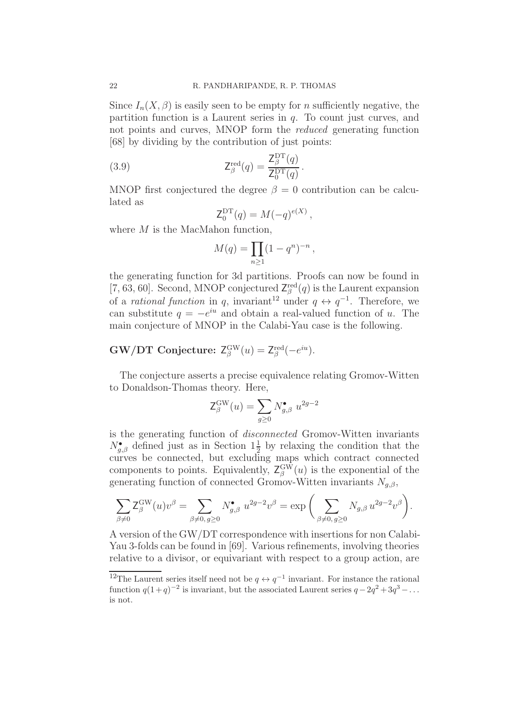Since  $I_n(X, \beta)$  is easily seen to be empty for *n* sufficiently negative, the partition function is a Laurent series in  $q$ . To count just curves, and not points and curves, MNOP form the reduced generating function [68] by dividing by the contribution of just points:

(3.9) 
$$
\mathsf{Z}_{\beta}^{\text{red}}(q) = \frac{\mathsf{Z}_{\beta}^{\text{DT}}(q)}{\mathsf{Z}_{0}^{\text{DT}}(q)}.
$$

MNOP first conjectured the degree  $\beta = 0$  contribution can be calculated as

$$
\mathsf{Z}_0^{\mathrm{DT}}(q) = M(-q)^{e(X)},
$$

where  $M$  is the MacMahon function,

$$
M(q) = \prod_{n \ge 1} (1 - q^n)^{-n},
$$

the generating function for 3d partitions. Proofs can now be found in [7, 63, 60]. Second, MNOP conjectured  $\mathsf{Z}_{\beta}^{\text{red}}(q)$  is the Laurent expansion of a *rational function* in q, invariant<sup>12</sup> under  $q \leftrightarrow q^{-1}$ . Therefore, we can substitute  $q = -e^{iu}$  and obtain a real-valued function of u. The main conjecture of MNOP in the Calabi-Yau case is the following.

# GW/DT Conjecture:  $Z_{\beta}^{\text{GW}}(u) = Z_{\beta}^{\text{red}}(-e^{iu}).$

The conjecture asserts a precise equivalence relating Gromov-Witten to Donaldson-Thomas theory. Here,

$$
Z_{\beta}^{\text{GW}}(u) = \sum_{g \ge 0} N_{g,\beta}^{\bullet} u^{2g-2}
$$

is the generating function of disconnected Gromov-Witten invariants  $N_{g,\beta}^{\bullet}$  defined just as in Section  $1\frac{1}{2}$  by relaxing the condition that the curves be connected, but excluding maps which contract connected components to points. Equivalently,  $Z_{\beta}^{\text{GW}}(u)$  is the exponential of the generating function of connected Gromov-Witten invariants  $N_{g,\beta}$ ,

$$
\sum_{\beta\neq 0} \mathsf{Z}^{\text{GW}}_{\beta}(u) v^\beta = \sum_{\beta\neq 0, \, g\geq 0} N_{g,\beta}^{\bullet}\ u^{2g-2} v^\beta = \exp\bigg(\sum_{\beta\neq 0, \, g\geq 0} N_{g,\beta}\, u^{2g-2} v^\beta\bigg).
$$

A version of the GW/DT correspondence with insertions for non Calabi-Yau 3-folds can be found in [69]. Various refinements, involving theories relative to a divisor, or equivariant with respect to a group action, are

<sup>&</sup>lt;sup>12</sup>The Laurent series itself need not be  $q \leftrightarrow q^{-1}$  invariant. For instance the rational function  $q(1+q)^{-2}$  is invariant, but the associated Laurent series  $q - 2q^2 + 3q^3 - \dots$ is not.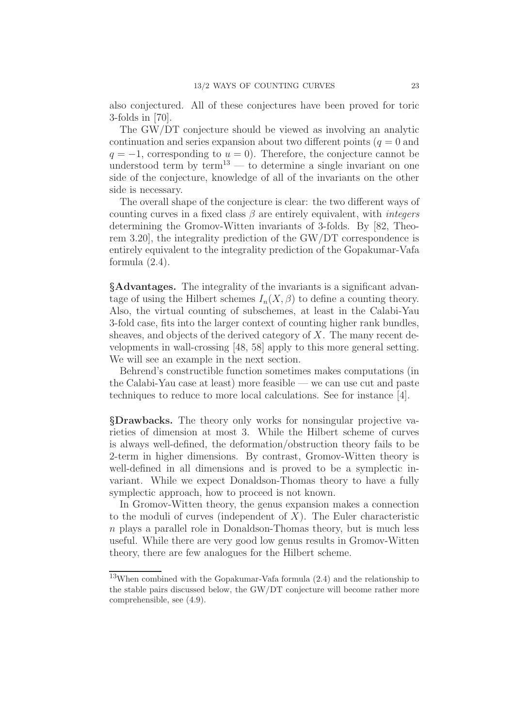also conjectured. All of these conjectures have been proved for toric 3-folds in [70].

The GW/DT conjecture should be viewed as involving an analytic continuation and series expansion about two different points  $(q = 0$  and  $q = -1$ , corresponding to  $u = 0$ ). Therefore, the conjecture cannot be understood term by term<sup>13</sup> — to determine a single invariant on one side of the conjecture, knowledge of all of the invariants on the other side is necessary.

The overall shape of the conjecture is clear: the two different ways of counting curves in a fixed class  $\beta$  are entirely equivalent, with *integers* determining the Gromov-Witten invariants of 3-folds. By [82, Theorem 3.20], the integrality prediction of the GW/DT correspondence is entirely equivalent to the integrality prediction of the Gopakumar-Vafa formula (2.4).

§Advantages. The integrality of the invariants is a significant advantage of using the Hilbert schemes  $I_n(X, \beta)$  to define a counting theory. Also, the virtual counting of subschemes, at least in the Calabi-Yau 3-fold case, fits into the larger context of counting higher rank bundles, sheaves, and objects of the derived category of  $X$ . The many recent developments in wall-crossing [48, 58] apply to this more general setting. We will see an example in the next section.

Behrend's constructible function sometimes makes computations (in the Calabi-Yau case at least) more feasible — we can use cut and paste techniques to reduce to more local calculations. See for instance [4].

§Drawbacks. The theory only works for nonsingular projective varieties of dimension at most 3. While the Hilbert scheme of curves is always well-defined, the deformation/obstruction theory fails to be 2-term in higher dimensions. By contrast, Gromov-Witten theory is well-defined in all dimensions and is proved to be a symplectic invariant. While we expect Donaldson-Thomas theory to have a fully symplectic approach, how to proceed is not known.

In Gromov-Witten theory, the genus expansion makes a connection to the moduli of curves (independent of  $X$ ). The Euler characteristic  $n$  plays a parallel role in Donaldson-Thomas theory, but is much less useful. While there are very good low genus results in Gromov-Witten theory, there are few analogues for the Hilbert scheme.

 $13$ When combined with the Gopakumar-Vafa formula (2.4) and the relationship to the stable pairs discussed below, the GW/DT conjecture will become rather more comprehensible, see (4.9).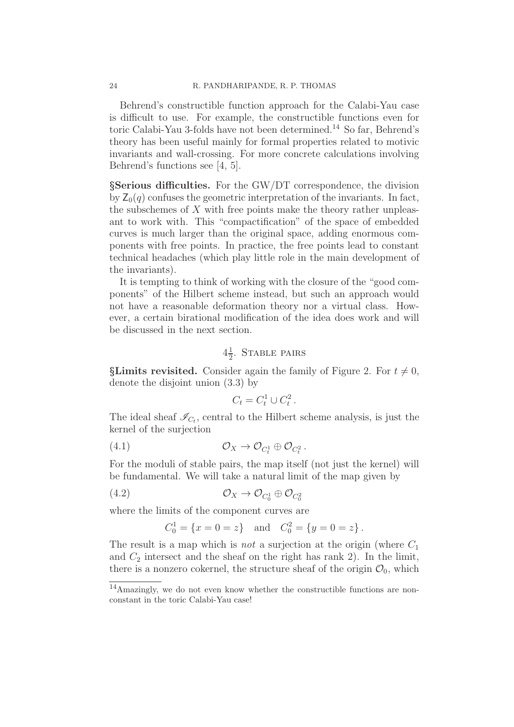Behrend's constructible function approach for the Calabi-Yau case is difficult to use. For example, the constructible functions even for toric Calabi-Yau 3-folds have not been determined.<sup>14</sup> So far, Behrend's theory has been useful mainly for formal properties related to motivic invariants and wall-crossing. For more concrete calculations involving Behrend's functions see [4, 5].

§Serious difficulties. For the GW/DT correspondence, the division by  $Z_0(q)$  confuses the geometric interpretation of the invariants. In fact, the subschemes of  $X$  with free points make the theory rather unpleasant to work with. This "compactification" of the space of embedded curves is much larger than the original space, adding enormous components with free points. In practice, the free points lead to constant technical headaches (which play little role in the main development of the invariants).

It is tempting to think of working with the closure of the "good components" of the Hilbert scheme instead, but such an approach would not have a reasonable deformation theory nor a virtual class. However, a certain birational modification of the idea does work and will be discussed in the next section.

#### $4\frac{1}{2}$  $\frac{1}{2}$ . Stable pairs

**§Limits revisited.** Consider again the family of Figure 2. For  $t \neq 0$ , denote the disjoint union (3.3) by

$$
C_t = C_t^1 \cup C_t^2.
$$

The ideal sheaf  $\mathcal{I}_{C_t}$ , central to the Hilbert scheme analysis, is just the kernel of the surjection

$$
(4.1) \t\t\t\t\t\mathcal{O}_X \to \mathcal{O}_{C_t^1} \oplus \mathcal{O}_{C_t^2}.
$$

For the moduli of stable pairs, the map itself (not just the kernel) will be fundamental. We will take a natural limit of the map given by

$$
(4.2) \qquad \qquad \mathcal{O}_X \to \mathcal{O}_{C_0^1} \oplus \mathcal{O}_{C_0^2}
$$

where the limits of the component curves are

$$
C_0^1 = \{x = 0 = z\}
$$
 and  $C_0^2 = \{y = 0 = z\}$ .

The result is a map which is *not* a surjection at the origin (where  $C_1$ ) and  $C_2$  intersect and the sheaf on the right has rank 2). In the limit, there is a nonzero cokernel, the structure sheaf of the origin  $\mathcal{O}_0$ , which

<sup>14</sup>Amazingly, we do not even know whether the constructible functions are nonconstant in the toric Calabi-Yau case!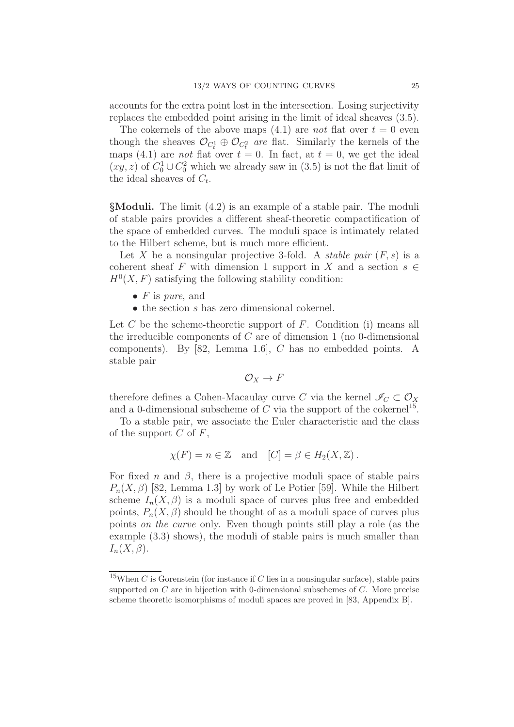accounts for the extra point lost in the intersection. Losing surjectivity replaces the embedded point arising in the limit of ideal sheaves (3.5).

The cokernels of the above maps  $(4.1)$  are not flat over  $t = 0$  even though the sheaves  $\mathcal{O}_{C_t^1} \oplus \mathcal{O}_{C_t^2}$  are flat. Similarly the kernels of the maps (4.1) are not flat over  $t = 0$ . In fact, at  $t = 0$ , we get the ideal  $(xy, z)$  of  $C_0^1 \cup C_0^2$  which we already saw in  $(3.5)$  is not the flat limit of the ideal sheaves of  $C_t$ .

§Moduli. The limit (4.2) is an example of a stable pair. The moduli of stable pairs provides a different sheaf-theoretic compactification of the space of embedded curves. The moduli space is intimately related to the Hilbert scheme, but is much more efficient.

Let X be a nonsingular projective 3-fold. A *stable pair*  $(F, s)$  is a coherent sheaf F with dimension 1 support in X and a section  $s \in$  $H<sup>0</sup>(X, F)$  satisfying the following stability condition:

- $F$  is pure, and
- the section s has zero dimensional cokernel.

Let  $C$  be the scheme-theoretic support of  $F$ . Condition (i) means all the irreducible components of  $C$  are of dimension 1 (no 0-dimensional components). By [82, Lemma 1.6], C has no embedded points. A stable pair

$$
\mathcal{O}_X \to F
$$

therefore defines a Cohen-Macaulay curve C via the kernel  $\mathscr{I}_C \subset \mathcal{O}_X$ and a 0-dimensional subscheme of  $C$  via the support of the cokernel<sup>15</sup>.

To a stable pair, we associate the Euler characteristic and the class of the support  $C$  of  $F$ ,

$$
\chi(F) = n \in \mathbb{Z}
$$
 and  $[C] = \beta \in H_2(X, \mathbb{Z})$ .

For fixed *n* and  $\beta$ , there is a projective moduli space of stable pairs  $P_n(X, \beta)$  [82, Lemma 1.3] by work of Le Potier [59]. While the Hilbert scheme  $I_n(X, \beta)$  is a moduli space of curves plus free and embedded points,  $P_n(X, \beta)$  should be thought of as a moduli space of curves plus points on the curve only. Even though points still play a role (as the example (3.3) shows), the moduli of stable pairs is much smaller than  $I_n(X,\beta)$ .

<sup>&</sup>lt;sup>15</sup>When C is Gorenstein (for instance if C lies in a nonsingular surface), stable pairs supported on  $C$  are in bijection with 0-dimensional subschemes of  $C$ . More precise scheme theoretic isomorphisms of moduli spaces are proved in [83, Appendix B].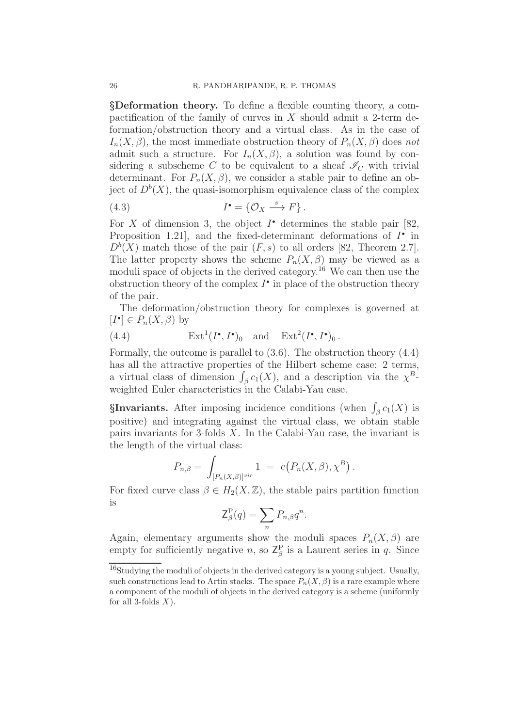§Deformation theory. To define a flexible counting theory, a compactification of the family of curves in  $X$  should admit a 2-term deformation/obstruction theory and a virtual class. As in the case of  $I_n(X, \beta)$ , the most immediate obstruction theory of  $P_n(X, \beta)$  does not admit such a structure. For  $I_n(X,\beta)$ , a solution was found by considering a subscheme C to be equivalent to a sheaf  $\mathscr{I}_C$  with trivial determinant. For  $P_n(X, \beta)$ , we consider a stable pair to define an object of  $D^b(X)$ , the quasi-isomorphism equivalence class of the complex

(4.3) 
$$
I^{\bullet} = \{ \mathcal{O}_X \xrightarrow{s} F \}.
$$

For X of dimension 3, the object  $I^{\bullet}$  determines the stable pair [82, Proposition 1.21, and the fixed-determinant deformations of  $I^{\bullet}$  in  $D^{b}(X)$  match those of the pair  $(F, s)$  to all orders [82, Theorem 2.7]. The latter property shows the scheme  $P_n(X, \beta)$  may be viewed as a moduli space of objects in the derived category.<sup>16</sup> We can then use the obstruction theory of the complex  $I^{\bullet}$  in place of the obstruction theory of the pair.

The deformation/obstruction theory for complexes is governed at  $[I^{\bullet}] \in P_n(X, \beta)$  by

(4.4) 
$$
\operatorname{Ext}^1(I^{\bullet}, I^{\bullet})_0 \quad \text{and} \quad \operatorname{Ext}^2(I^{\bullet}, I^{\bullet})_0.
$$

Formally, the outcome is parallel to (3.6). The obstruction theory (4.4) has all the attractive properties of the Hilbert scheme case: 2 terms, a virtual class of dimension  $\int_{\beta} c_1(X)$ , and a description via the  $\chi^B$ weighted Euler characteristics in the Calabi-Yau case.

**§Invariants.** After imposing incidence conditions (when  $\int_{\beta} c_1(X)$  is positive) and integrating against the virtual class, we obtain stable pairs invariants for 3-folds  $X$ . In the Calabi-Yau case, the invariant is the length of the virtual class:

$$
P_{n,\beta} = \int_{[P_n(X,\beta)]^{vir}} 1 = e(P_n(X,\beta), \chi^B).
$$

For fixed curve class  $\beta \in H_2(X, \mathbb{Z})$ , the stable pairs partition function is

$$
\mathsf{Z}_{\beta}^{\mathsf{P}}(q) = \sum_{n} P_{n,\beta} q^{n}.
$$

Again, elementary arguments show the moduli spaces  $P_n(X, \beta)$  are empty for sufficiently negative n, so  $Z_{\beta}^{\text{P}}$  is a Laurent series in q. Since

<sup>16</sup>Studying the moduli of objects in the derived category is a young subject. Usually, such constructions lead to Artin stacks. The space  $P_n(X, \beta)$  is a rare example where a component of the moduli of objects in the derived category is a scheme (uniformly for all 3-folds  $X$ ).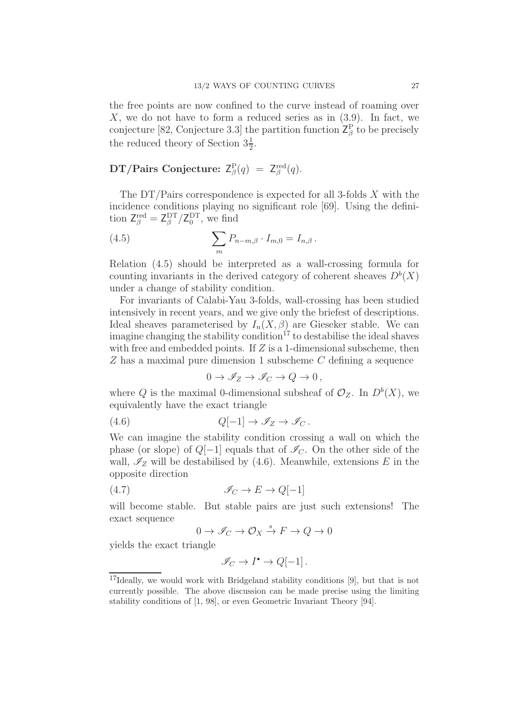the free points are now confined to the curve instead of roaming over X, we do not have to form a reduced series as in  $(3.9)$ . In fact, we conjecture [82, Conjecture 3.3] the partition function  $Z_{\beta}^{\text{P}}$  to be precisely the reduced theory of Section  $3\frac{1}{2}$ .

# DT/Pairs Conjecture:  $Z_{\beta}^{\text{P}}(q) = Z_{\beta}^{\text{red}}(q)$ .

The DT/Pairs correspondence is expected for all 3-folds  $X$  with the incidence conditions playing no significant role [69]. Using the definition  $Z_{\beta}^{\text{red}} = Z_{\beta}^{\text{DT}} / Z_{0}^{\text{DT}}$ , we find

(4.5) 
$$
\sum_{m} P_{n-m,\beta} \cdot I_{m,0} = I_{n,\beta}.
$$

Relation (4.5) should be interpreted as a wall-crossing formula for counting invariants in the derived category of coherent sheaves  $D^b(X)$ under a change of stability condition.

For invariants of Calabi-Yau 3-folds, wall-crossing has been studied intensively in recent years, and we give only the briefest of descriptions. Ideal sheaves parameterised by  $I_n(X, \beta)$  are Gieseker stable. We can imagine changing the stability condition<sup>17</sup> to destabilise the ideal shaves with free and embedded points. If  $Z$  is a 1-dimensional subscheme, then Z has a maximal pure dimension 1 subscheme C defining a sequence

$$
0 \to \mathscr{I}_Z \to \mathscr{I}_C \to Q \to 0\,,
$$

where Q is the maximal 0-dimensional subsheaf of  $\mathcal{O}_Z$ . In  $D^b(X)$ , we equivalently have the exact triangle

(4.6) 
$$
Q[-1] \to \mathscr{I}_Z \to \mathscr{I}_C.
$$

We can imagine the stability condition crossing a wall on which the phase (or slope) of  $Q[-1]$  equals that of  $\mathcal{I}_C$ . On the other side of the wall,  $\mathscr{I}_Z$  will be destabilised by (4.6). Meanwhile, extensions E in the opposite direction

$$
\mathcal{I}_C \to E \to Q[-1]
$$

will become stable. But stable pairs are just such extensions! The exact sequence

$$
0 \to \mathscr{I}_C \to \mathcal{O}_X \stackrel{s}{\to} F \to Q \to 0
$$

yields the exact triangle

$$
\mathscr{I}_C \to I^{\bullet} \to Q[-1] \, .
$$

 $17$ Ideally, we would work with Bridgeland stability conditions [9], but that is not currently possible. The above discussion can be made precise using the limiting stability conditions of [1, 98], or even Geometric Invariant Theory [94].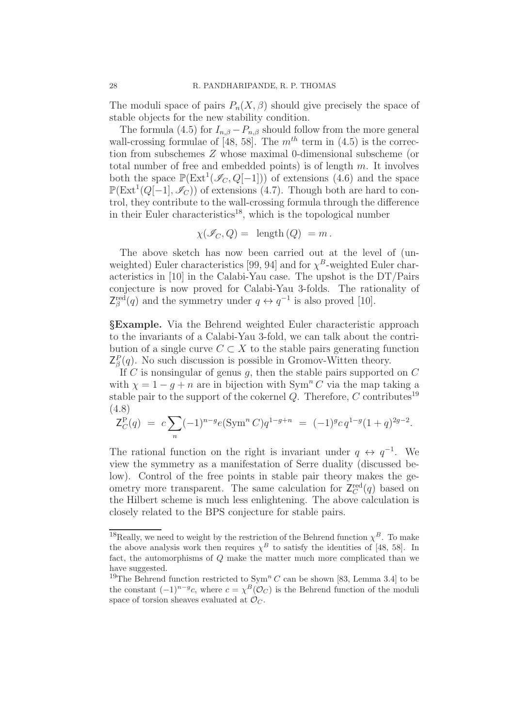The moduli space of pairs  $P_n(X, \beta)$  should give precisely the space of stable objects for the new stability condition.

The formula (4.5) for  $I_{n,\beta}-P_{n,\beta}$  should follow from the more general wall-crossing formulae of [48, 58]. The  $m^{th}$  term in (4.5) is the correction from subschemes Z whose maximal 0-dimensional subscheme (or total number of free and embedded points) is of length  $m$ . It involves both the space  $\mathbb{P}(\text{Ext}^1(\mathcal{I}_C, Q[-1]))$  of extensions (4.6) and the space  $\mathbb{P}(\text{Ext}^1(Q[-1], \mathscr{I}_C))$  of extensions (4.7). Though both are hard to control, they contribute to the wall-crossing formula through the difference in their Euler characteristics<sup>18</sup>, which is the topological number

$$
\chi(\mathscr{I}_C, Q) = \text{ length } (Q) = m.
$$

The above sketch has now been carried out at the level of (unweighted) Euler characteristics [99, 94] and for  $\chi^B$ -weighted Euler characteristics in [10] in the Calabi-Yau case. The upshot is the DT/Pairs conjecture is now proved for Calabi-Yau 3-folds. The rationality of  $\mathsf{Z}_{\beta}^{\text{red}}(q)$  and the symmetry under  $q \leftrightarrow q^{-1}$  is also proved [10].

§Example. Via the Behrend weighted Euler characteristic approach to the invariants of a Calabi-Yau 3-fold, we can talk about the contribution of a single curve  $C \subset X$  to the stable pairs generating function  $Z_{\beta}^{P}(q)$ . No such discussion is possible in Gromov-Witten theory.

If  $C$  is nonsingular of genus  $q$ , then the stable pairs supported on  $C$ with  $\chi = 1 - q + n$  are in bijection with  $\text{Sym}^n C$  via the map taking a stable pair to the support of the cokernel  $Q$ . Therefore,  $C$  contributes<sup>19</sup> (4.8)

$$
\mathsf{Z}_C^{\mathsf{P}}(q) \; = \; c \sum_{n} (-1)^{n-g} e(\text{Sym}^n C) q^{1-g+n} \; = \; (-1)^g c \, q^{1-g} (1+q)^{2g-2}.
$$

The rational function on the right is invariant under  $q \leftrightarrow q^{-1}$ . We view the symmetry as a manifestation of Serre duality (discussed below). Control of the free points in stable pair theory makes the geometry more transparent. The same calculation for  $Z_C^{\text{red}}(q)$  based on the Hilbert scheme is much less enlightening. The above calculation is closely related to the BPS conjecture for stable pairs.

<sup>&</sup>lt;sup>18</sup>Really, we need to weight by the restriction of the Behrend function  $\chi^B$ . To make the above analysis work then requires  $\chi^B$  to satisfy the identities of [48, 58]. In fact, the automorphisms of Q make the matter much more complicated than we have suggested.

<sup>&</sup>lt;sup>19</sup>The Behrend function restricted to  $\text{Sym}^n C$  can be shown [83, Lemma 3.4] to be the constant  $(-1)^{n-g}c$ , where  $c = \chi^B(\mathcal{O}_C)$  is the Behrend function of the moduli space of torsion sheaves evaluated at  $\mathcal{O}_C$ .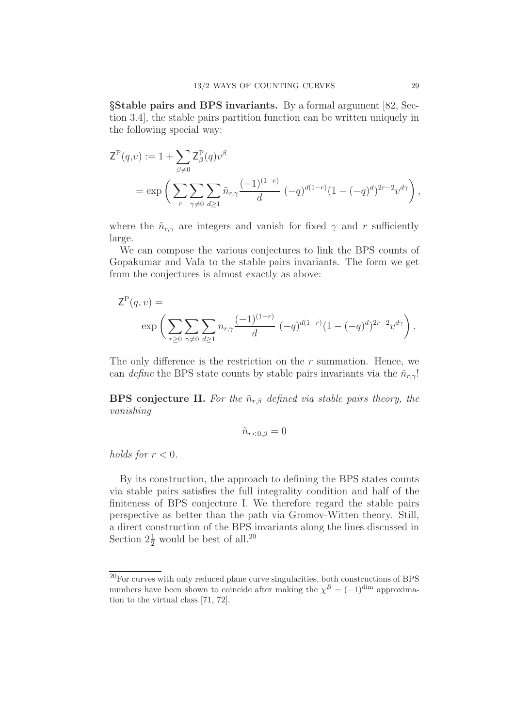§Stable pairs and BPS invariants. By a formal argument [82, Section 3.4], the stable pairs partition function can be written uniquely in the following special way:

$$
Z^{P}(q, v) := 1 + \sum_{\beta \neq 0} Z_{\beta}^{P}(q) v^{\beta}
$$
  
=  $\exp \left( \sum_{r} \sum_{\gamma \neq 0} \sum_{d \geq 1} \tilde{n}_{r, \gamma} \frac{(-1)^{(1-r)}}{d} (-q)^{d(1-r)} (1 - (-q)^{d})^{2r-2} v^{d\gamma} \right),$ 

where the  $\tilde{n}_{r,\gamma}$  are integers and vanish for fixed  $\gamma$  and r sufficiently large.

We can compose the various conjectures to link the BPS counts of Gopakumar and Vafa to the stable pairs invariants. The form we get from the conjectures is almost exactly as above:

$$
Z^{P}(q, v) = \exp \left( \sum_{r \geq 0} \sum_{\gamma \neq 0} \sum_{d \geq 1} n_{r, \gamma} \frac{(-1)^{(1-r)}}{d} (-q)^{d(1-r)} (1 - (-q)^d)^{2r - 2} v^{d\gamma} \right).
$$

The only difference is the restriction on the  $r$  summation. Hence, we can define the BPS state counts by stable pairs invariants via the  $\tilde{n}_{r,\gamma}$ !

**BPS conjecture II.** For the  $\tilde{n}_{r,\beta}$  defined via stable pairs theory, the vanishing

$$
\tilde{n}_{r<0,\beta}=0
$$

holds for  $r < 0$ .

By its construction, the approach to defining the BPS states counts via stable pairs satisfies the full integrality condition and half of the finiteness of BPS conjecture I. We therefore regard the stable pairs perspective as better than the path via Gromov-Witten theory. Still, a direct construction of the BPS invariants along the lines discussed in Section  $2\frac{1}{2}$  would be best of all.<sup>20</sup>

 $^{20}\!{\rm For}$  curves with only reduced plane curve singularities, both constructions of BPS numbers have been shown to coincide after making the  $\chi^B = (-1)^{\text{dim}}$  approximation to the virtual class [71, 72].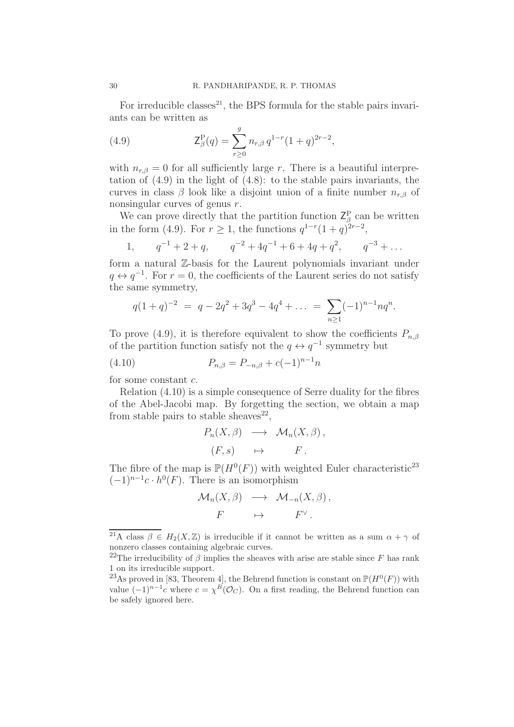For irreducible classes<sup>21</sup>, the BPS formula for the stable pairs invariants can be written as

(4.9) 
$$
\mathsf{Z}_{\beta}^{\mathrm{P}}(q) = \sum_{r\geq 0}^{g} n_{r,\beta} q^{1-r} (1+q)^{2r-2},
$$

with  $n_{r,\beta} = 0$  for all sufficiently large r. There is a beautiful interpretation of (4.9) in the light of (4.8): to the stable pairs invariants, the curves in class  $\beta$  look like a disjoint union of a finite number  $n_{r,\beta}$  of nonsingular curves of genus r.

We can prove directly that the partition function  $Z_{\beta}^{\text{P}}$  can be written in the form (4.9). For  $r \geq 1$ , the functions  $q^{1-r}(1+q)^{2r-2}$ ,

1, 
$$
q^{-1} + 2 + q
$$
,  $q^{-2} + 4q^{-1} + 6 + 4q + q^{2}$ ,  $q^{-3} + \dots$ 

form a natural Z-basis for the Laurent polynomials invariant under  $q \leftrightarrow q^{-1}$ . For  $r = 0$ , the coefficients of the Laurent series do not satisfy the same symmetry,

$$
q(1+q)^{-2} = q - 2q^2 + 3q^3 - 4q^4 + \dots = \sum_{n \ge 1} (-1)^{n-1} nq^n.
$$

To prove (4.9), it is therefore equivalent to show the coefficients  $P_{n,\beta}$ of the partition function satisfy not the  $q \leftrightarrow q^{-1}$  symmetry but

(4.10) 
$$
P_{n,\beta} = P_{-n,\beta} + c(-1)^{n-1}n
$$

for some constant c.

Relation (4.10) is a simple consequence of Serre duality for the fibres of the Abel-Jacobi map. By forgetting the section, we obtain a map from stable pairs to stable sheaves<sup>22</sup>,

$$
P_n(X, \beta) \longrightarrow \mathcal{M}_n(X, \beta),
$$
  
(F, s)  $\mapsto$  F.

The fibre of the map is  $\mathbb{P}(H^0(F))$  with weighted Euler characteristic<sup>23</sup>  $(-1)^{n-1}c \cdot h^0(F)$ . There is an isomorphism

$$
\mathcal{M}_n(X,\beta) \longrightarrow \mathcal{M}_{-n}(X,\beta),
$$
  
 $F \longrightarrow F^{\vee}.$ 

<sup>&</sup>lt;sup>21</sup>A class  $\beta \in H_2(X,\mathbb{Z})$  is irreducible if it cannot be written as a sum  $\alpha + \gamma$  of nonzero classes containing algebraic curves.

<sup>&</sup>lt;sup>22</sup>The irreducibility of β implies the sheaves with arise are stable since F has rank 1 on its irreducible support.

<sup>&</sup>lt;sup>23</sup>As proved in [83, Theorem 4], the Behrend function is constant on  $\mathbb{P}(H^0(F))$  with value  $(-1)^{n-1}c$  where  $c = \chi^B(\mathcal{O}_C)$ . On a first reading, the Behrend function can be safely ignored here.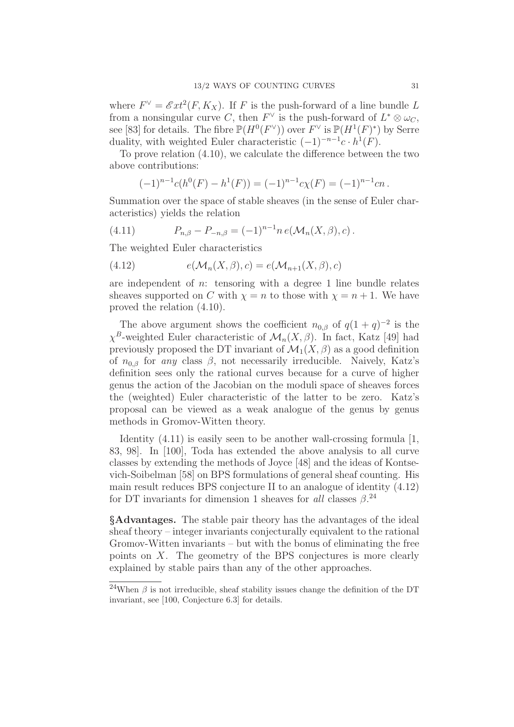where  $F^{\vee} = \mathscr{E}xt^2(F, K_X)$ . If F is the push-forward of a line bundle L from a nonsingular curve C, then  $F^{\vee}$  is the push-forward of  $L^* \otimes \omega_C$ , see [83] for details. The fibre  $\mathbb{P}(H^0(F^{\vee}))$  over  $F^{\vee}$  is  $\mathbb{P}(H^1(F)^*)$  by Serre duality, with weighted Euler characteristic  $(-1)^{-n-1}c \cdot h^{1}(F)$ .

To prove relation (4.10), we calculate the difference between the two above contributions:

$$
(-1)^{n-1}c(h^0(F) - h^1(F)) = (-1)^{n-1}c\chi(F) = (-1)^{n-1}cn.
$$

Summation over the space of stable sheaves (in the sense of Euler characteristics) yields the relation

(4.11) 
$$
P_{n,\beta} - P_{-n,\beta} = (-1)^{n-1} n e(M_n(X,\beta),c).
$$

The weighted Euler characteristics

(4.12) 
$$
e(\mathcal{M}_n(X,\beta),c) = e(\mathcal{M}_{n+1}(X,\beta),c)
$$

are independent of  $n$ : tensoring with a degree 1 line bundle relates sheaves supported on C with  $\chi = n$  to those with  $\chi = n + 1$ . We have proved the relation (4.10).

The above argument shows the coefficient  $n_{0,\beta}$  of  $q(1+q)^{-2}$  is the  $\chi^B$ -weighted Euler characteristic of  $\mathcal{M}_n(X,\beta)$ . In fact, Katz [49] had previously proposed the DT invariant of  $\mathcal{M}_1(X,\beta)$  as a good definition of  $n_{0,\beta}$  for any class  $\beta$ , not necessarily irreducible. Naively, Katz's definition sees only the rational curves because for a curve of higher genus the action of the Jacobian on the moduli space of sheaves forces the (weighted) Euler characteristic of the latter to be zero. Katz's proposal can be viewed as a weak analogue of the genus by genus methods in Gromov-Witten theory.

Identity (4.11) is easily seen to be another wall-crossing formula [1, 83, 98]. In [100], Toda has extended the above analysis to all curve classes by extending the methods of Joyce [48] and the ideas of Kontsevich-Soibelman [58] on BPS formulations of general sheaf counting. His main result reduces BPS conjecture II to an analogue of identity (4.12) for DT invariants for dimension 1 sheaves for all classes  $\beta$ <sup>24</sup>

§Advantages. The stable pair theory has the advantages of the ideal sheaf theory – integer invariants conjecturally equivalent to the rational Gromov-Witten invariants – but with the bonus of eliminating the free points on X. The geometry of the BPS conjectures is more clearly explained by stable pairs than any of the other approaches.

<sup>&</sup>lt;sup>24</sup>When  $\beta$  is not irreducible, sheaf stability issues change the definition of the DT invariant, see [100, Conjecture 6.3] for details.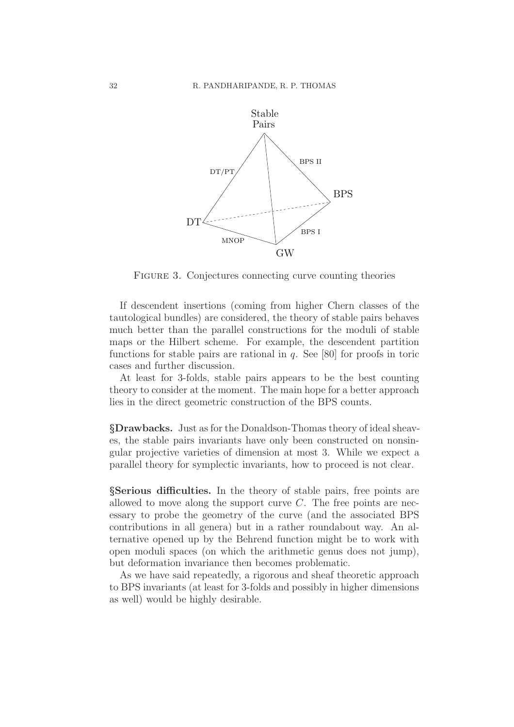

FIGURE 3. Conjectures connecting curve counting theories

If descendent insertions (coming from higher Chern classes of the tautological bundles) are considered, the theory of stable pairs behaves much better than the parallel constructions for the moduli of stable maps or the Hilbert scheme. For example, the descendent partition functions for stable pairs are rational in  $q$ . See [80] for proofs in toric cases and further discussion.

At least for 3-folds, stable pairs appears to be the best counting theory to consider at the moment. The main hope for a better approach lies in the direct geometric construction of the BPS counts.

§Drawbacks. Just as for the Donaldson-Thomas theory of ideal sheaves, the stable pairs invariants have only been constructed on nonsingular projective varieties of dimension at most 3. While we expect a parallel theory for symplectic invariants, how to proceed is not clear.

§Serious difficulties. In the theory of stable pairs, free points are allowed to move along the support curve  $C$ . The free points are necessary to probe the geometry of the curve (and the associated BPS contributions in all genera) but in a rather roundabout way. An alternative opened up by the Behrend function might be to work with open moduli spaces (on which the arithmetic genus does not jump), but deformation invariance then becomes problematic.

As we have said repeatedly, a rigorous and sheaf theoretic approach to BPS invariants (at least for 3-folds and possibly in higher dimensions as well) would be highly desirable.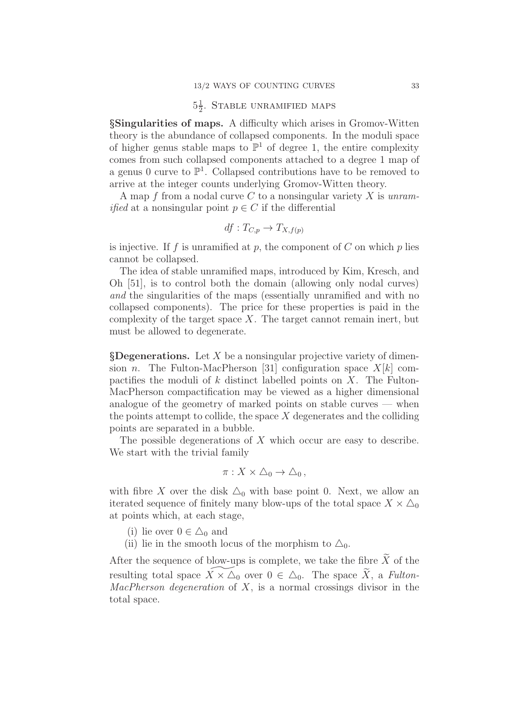## 13/2 WAYS OF COUNTING CURVES 33

#### $5\frac{1}{2}$  $\frac{1}{2}$ . STABLE UNRAMIFIED MAPS

§Singularities of maps. A difficulty which arises in Gromov-Witten theory is the abundance of collapsed components. In the moduli space of higher genus stable maps to  $\mathbb{P}^1$  of degree 1, the entire complexity comes from such collapsed components attached to a degree 1 map of a genus 0 curve to  $\mathbb{P}^1$ . Collapsed contributions have to be removed to arrive at the integer counts underlying Gromov-Witten theory.

A map f from a nodal curve C to a nonsingular variety X is unram*ified* at a nonsingular point  $p \in C$  if the differential

$$
df: T_{C,p} \to T_{X,f(p)}
$$

is injective. If f is unramified at p, the component of  $C$  on which p lies cannot be collapsed.

The idea of stable unramified maps, introduced by Kim, Kresch, and Oh [51], is to control both the domain (allowing only nodal curves) and the singularities of the maps (essentially unramified and with no collapsed components). The price for these properties is paid in the complexity of the target space  $X$ . The target cannot remain inert, but must be allowed to degenerate.

 $\S$ Degenerations. Let X be a nonsingular projective variety of dimension *n*. The Fulton-MacPherson [31] configuration space  $X[k]$  compactifies the moduli of k distinct labelled points on X. The Fulton-MacPherson compactification may be viewed as a higher dimensional analogue of the geometry of marked points on stable curves — when the points attempt to collide, the space  $X$  degenerates and the colliding points are separated in a bubble.

The possible degenerations of  $X$  which occur are easy to describe. We start with the trivial family

$$
\pi: X \times \triangle_0 \to \triangle_0,
$$

with fibre X over the disk  $\Delta_0$  with base point 0. Next, we allow an iterated sequence of finitely many blow-ups of the total space  $X \times \Delta_0$ at points which, at each stage,

- (i) lie over  $0 \in \Delta_0$  and
- (ii) lie in the smooth locus of the morphism to  $\Delta_0$ .

After the sequence of blow-ups is complete, we take the fibre  $\tilde{X}$  of the resulting total space  $\widetilde{X} \times \Delta_0$  over  $0 \in \Delta_0$ . The space  $\widetilde{X}$ , a Fulton-MacPherson degeneration of  $X$ , is a normal crossings divisor in the total space.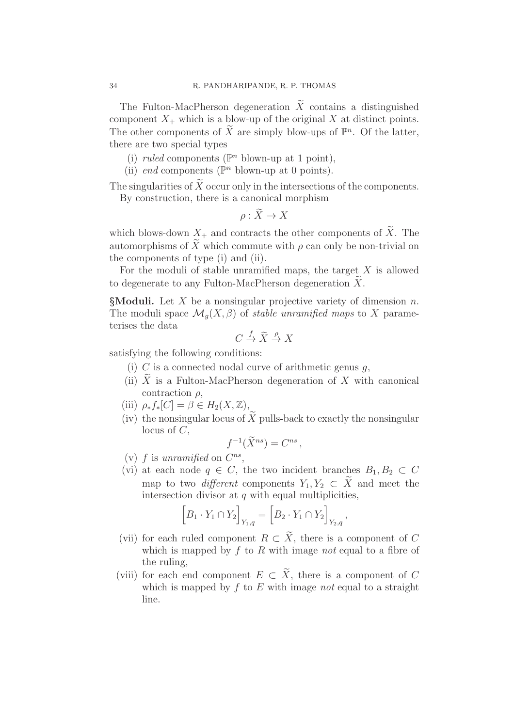The Fulton-MacPherson degeneration  $\widetilde{X}$  contains a distinguished component  $X_+$  which is a blow-up of the original X at distinct points. The other components of  $\overline{X}$  are simply blow-ups of  $\mathbb{P}^n$ . Of the latter, there are two special types

- (i) *ruled* components ( $\mathbb{P}^n$  blown-up at 1 point),
- (ii) end components ( $\mathbb{P}^n$  blown-up at 0 points).

The singularities of  $\widetilde{X}$  occur only in the intersections of the components. By construction, there is a canonical morphism

$$
\rho: \widetilde{X} \to X
$$

which blows-down  $X_+$  and contracts the other components of  $\widetilde{X}$ . The automorphisms of X which commute with  $\rho$  can only be non-trivial on the components of type (i) and (ii).

For the moduli of stable unramified maps, the target  $X$  is allowed to degenerate to any Fulton-MacPherson degeneration  $X$ .

 $\mathcal{S}_{\text{Moduli}}$ . Let X be a nonsingular projective variety of dimension n. The moduli space  $\mathcal{M}_q(X,\beta)$  of stable unramified maps to X parameterises the data

$$
C \stackrel{f}{\to} \widetilde{X} \stackrel{\rho}{\to} X
$$

satisfying the following conditions:

- (i) C is a connected nodal curve of arithmetic genus  $q$ ,
- (ii)  $\widetilde{X}$  is a Fulton-MacPherson degeneration of X with canonical contraction  $\rho$ .
- (iii)  $\rho_* f_*[C] = \beta \in H_2(X, \mathbb{Z}),$
- (iv) the nonsingular locus of  $\widetilde{X}$  pulls-back to exactly the nonsingular locus of C,

$$
f^{-1}(\widetilde{X}^{ns}) = C^{ns},
$$

- (v)  $f$  is unramified on  $C^{ns}$ ,
- (vi) at each node  $q \in C$ , the two incident branches  $B_1, B_2 \subset C$ map to two *different* components  $Y_1, Y_2 \subset X$  and meet the intersection divisor at  $q$  with equal multiplicities,

$$
[B_1 \cdot Y_1 \cap Y_2]_{Y_1,q} = [B_2 \cdot Y_1 \cap Y_2]_{Y_2,q},
$$

- (vii) for each ruled component  $R \subset \widetilde{X}$ , there is a component of C which is mapped by  $f$  to  $R$  with image not equal to a fibre of the ruling,
- (viii) for each end component  $E \subset \tilde{X}$ , there is a component of C which is mapped by  $f$  to  $E$  with image not equal to a straight line.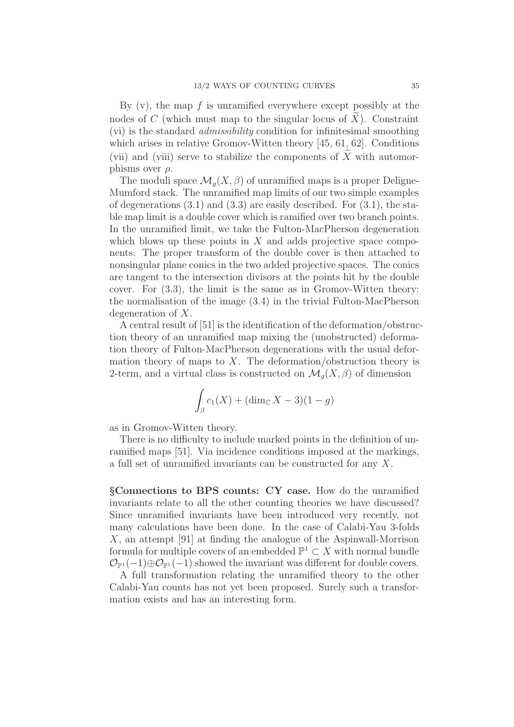By  $(v)$ , the map f is unramified everywhere except possibly at the nodes of C (which must map to the singular locus of  $X$ ). Constraint (vi) is the standard admissibility condition for infinitesimal smoothing which arises in relative Gromov-Witten theory [45, 61, 62]. Conditions (vii) and (viii) serve to stabilize the components of  $\tilde{X}$  with automorphisms over  $\rho$ .

The moduli space  $\mathcal{M}_q(X,\beta)$  of unramified maps is a proper Deligne-Mumford stack. The unramified map limits of our two simple examples of degenerations  $(3.1)$  and  $(3.3)$  are easily described. For  $(3.1)$ , the stable map limit is a double cover which is ramified over two branch points. In the unramified limit, we take the Fulton-MacPherson degeneration which blows up these points in  $X$  and adds projective space components. The proper transform of the double cover is then attached to nonsingular plane conics in the two added projective spaces. The conics are tangent to the intersection divisors at the points hit by the double cover. For (3.3), the limit is the same as in Gromov-Witten theory: the normalisation of the image (3.4) in the trivial Fulton-MacPherson degeneration of X.

A central result of [51] is the identification of the deformation/obstruction theory of an unramified map mixing the (unobstructed) deformation theory of Fulton-MacPherson degenerations with the usual deformation theory of maps to  $X$ . The deformation/obstruction theory is 2-term, and a virtual class is constructed on  $\mathcal{M}_q(X,\beta)$  of dimension

$$
\int_{\beta} c_1(X) + (\dim_{\mathbb{C}} X - 3)(1 - g)
$$

as in Gromov-Witten theory.

There is no difficulty to include marked points in the definition of unramified maps [51]. Via incidence conditions imposed at the markings, a full set of unramified invariants can be constructed for any X.

§Connections to BPS counts: CY case. How do the unramified invariants relate to all the other counting theories we have discussed? Since unramified invariants have been introduced very recently, not many calculations have been done. In the case of Calabi-Yau 3-folds  $X$ , an attempt [91] at finding the analogue of the Aspinwall-Morrison formula for multiple covers of an embedded  $\mathbb{P}^1 \subset X$  with normal bundle  $\mathcal{O}_{\mathbb{P}^1}(-1)\oplus \mathcal{O}_{\mathbb{P}^1}(-1)$  showed the invariant was different for double covers.

A full transformation relating the unramified theory to the other Calabi-Yau counts has not yet been proposed. Surely such a transformation exists and has an interesting form.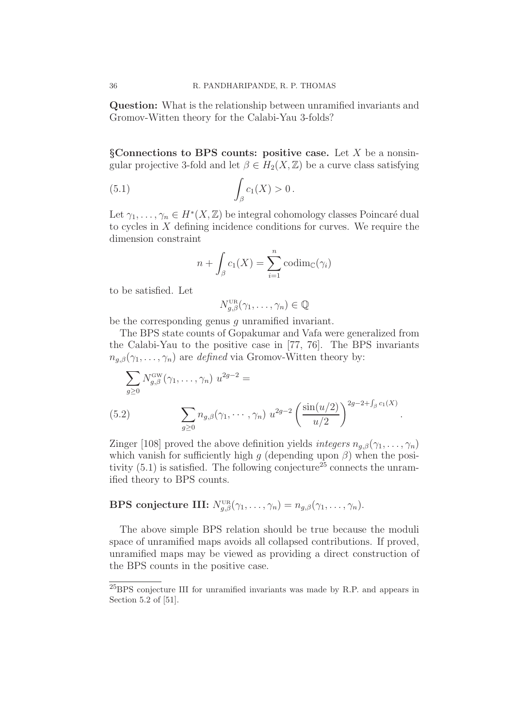Question: What is the relationship between unramified invariants and Gromov-Witten theory for the Calabi-Yau 3-folds?

 $\S$ Connections to BPS counts: positive case. Let X be a nonsingular projective 3-fold and let  $\beta \in H_2(X, \mathbb{Z})$  be a curve class satisfying

(5.1) 
$$
\int_{\beta} c_1(X) > 0.
$$

Let  $\gamma_1, \ldots, \gamma_n \in H^*(X, \mathbb{Z})$  be integral cohomology classes Poincaré dual to cycles in X defining incidence conditions for curves. We require the dimension constraint

$$
n + \int_{\beta} c_1(X) = \sum_{i=1}^{n} \operatorname{codim}_{\mathbb{C}}(\gamma_i)
$$

to be satisfied. Let

 $N_{g,\beta}^{\text{UR}}(\gamma_1,\ldots,\gamma_n) \in \mathbb{Q}$ 

be the corresponding genus  $q$  unramified invariant.

The BPS state counts of Gopakumar and Vafa were generalized from the Calabi-Yau to the positive case in [77, 76]. The BPS invariants  $n_{q,\beta}(\gamma_1,\ldots,\gamma_n)$  are *defined* via Gromov-Witten theory by:

$$
\sum_{g\geq 0} N_{g,\beta}^{\text{GW}}(\gamma_1, \dots, \gamma_n) u^{2g-2} =
$$
\n(5.2) 
$$
\sum_{g\geq 0} n_{g,\beta}(\gamma_1, \dots, \gamma_n) u^{2g-2} \left( \frac{\sin(u/2)}{u/2} \right)^{2g-2+f_\beta c_1(X)}.
$$

Zinger [108] proved the above definition yields  $integers n_{g,\beta}(\gamma_1,\ldots,\gamma_n)$ which vanish for sufficiently high g (depending upon  $\beta$ ) when the positivity  $(5.1)$  is satisfied. The following conjecture<sup>25</sup> connects the unramified theory to BPS counts.

## BPS conjecture III:  $N_{g,\beta}^{\text{UR}}(\gamma_1,\ldots,\gamma_n) = n_{g,\beta}(\gamma_1,\ldots,\gamma_n)$ .

The above simple BPS relation should be true because the moduli space of unramified maps avoids all collapsed contributions. If proved, unramified maps may be viewed as providing a direct construction of the BPS counts in the positive case.

<sup>25</sup>BPS conjecture III for unramified invariants was made by R.P. and appears in Section 5.2 of [51].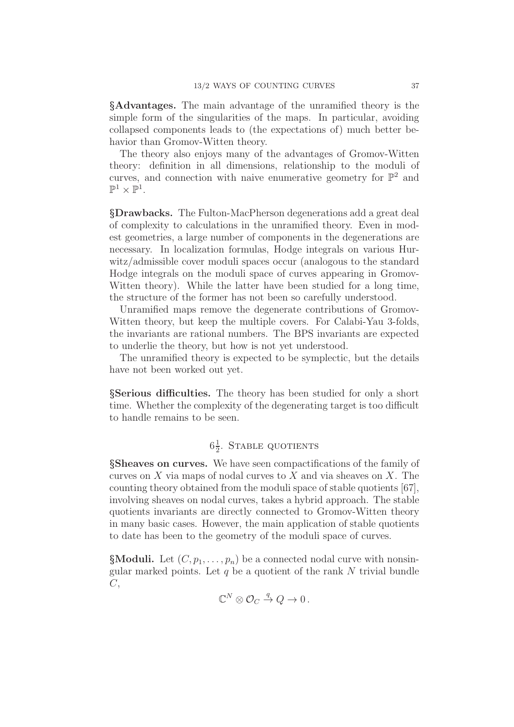§Advantages. The main advantage of the unramified theory is the simple form of the singularities of the maps. In particular, avoiding collapsed components leads to (the expectations of) much better behavior than Gromov-Witten theory.

The theory also enjoys many of the advantages of Gromov-Witten theory: definition in all dimensions, relationship to the moduli of curves, and connection with naive enumerative geometry for  $\mathbb{P}^2$  and  $\mathbb{P}^1 \times \mathbb{P}^1$ .

§Drawbacks. The Fulton-MacPherson degenerations add a great deal of complexity to calculations in the unramified theory. Even in modest geometries, a large number of components in the degenerations are necessary. In localization formulas, Hodge integrals on various Hurwitz/admissible cover moduli spaces occur (analogous to the standard Hodge integrals on the moduli space of curves appearing in Gromov-Witten theory). While the latter have been studied for a long time, the structure of the former has not been so carefully understood.

Unramified maps remove the degenerate contributions of Gromov-Witten theory, but keep the multiple covers. For Calabi-Yau 3-folds, the invariants are rational numbers. The BPS invariants are expected to underlie the theory, but how is not yet understood.

The unramified theory is expected to be symplectic, but the details have not been worked out yet.

§Serious difficulties. The theory has been studied for only a short time. Whether the complexity of the degenerating target is too difficult to handle remains to be seen.

#### $6\frac{1}{2}$  $\frac{1}{2}$ . Stable quotients

§Sheaves on curves. We have seen compactifications of the family of curves on  $X$  via maps of nodal curves to  $X$  and via sheaves on  $X$ . The counting theory obtained from the moduli space of stable quotients [67], involving sheaves on nodal curves, takes a hybrid approach. The stable quotients invariants are directly connected to Gromov-Witten theory in many basic cases. However, the main application of stable quotients to date has been to the geometry of the moduli space of curves.

**§Moduli.** Let  $(C, p_1, \ldots, p_n)$  be a connected nodal curve with nonsingular marked points. Let  $q$  be a quotient of the rank  $N$  trivial bundle  $C,$ 

 $\mathbb{C}^N \otimes \mathcal{O}_C \stackrel{q}{\to} Q \to 0$ .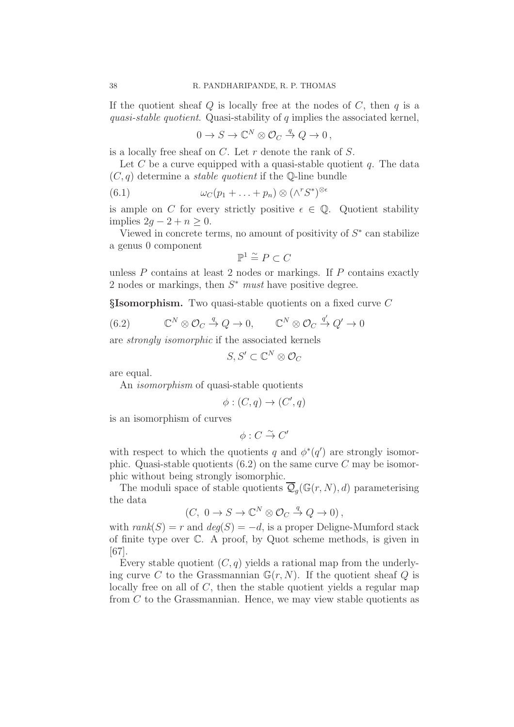If the quotient sheaf  $Q$  is locally free at the nodes of  $C$ , then  $q$  is a quasi-stable quotient. Quasi-stability of  $q$  implies the associated kernel,

$$
0 \to S \to \mathbb{C}^N \otimes \mathcal{O}_C \stackrel{q}{\to} Q \to 0\,,
$$

is a locally free sheaf on  $C$ . Let  $r$  denote the rank of  $S$ .

Let  $C$  be a curve equipped with a quasi-stable quotient  $q$ . The data  $(C, q)$  determine a *stable quotient* if the Q-line bundle

(6.1) 
$$
\omega_C(p_1 + \ldots + p_n) \otimes (\wedge^r S^*)^{\otimes \epsilon}
$$

is ample on C for every strictly positive  $\epsilon \in \mathbb{Q}$ . Quotient stability implies  $2q - 2 + n \geq 0$ .

Viewed in concrete terms, no amount of positivity of  $S^*$  can stabilize a genus 0 component

$$
\mathbb{P}^1 \stackrel{\sim}{=} P \subset C
$$

unless  $P$  contains at least 2 nodes or markings. If  $P$  contains exactly 2 nodes or markings, then  $S^*$  must have positive degree.

§Isomorphism. Two quasi-stable quotients on a fixed curve C

(6.2) 
$$
\mathbb{C}^N \otimes \mathcal{O}_C \xrightarrow{q} Q \to 0, \qquad \mathbb{C}^N \otimes \mathcal{O}_C \xrightarrow{q'} Q' \to 0
$$

are strongly isomorphic if the associated kernels

$$
S, S' \subset \mathbb{C}^N \otimes \mathcal{O}_C
$$

are equal.

An isomorphism of quasi-stable quotients

$$
\phi : (C, q) \to (C', q)
$$

is an isomorphism of curves

$$
\phi:C\stackrel{\sim}{\rightarrow} C'
$$

with respect to which the quotients q and  $\phi^*(q')$  are strongly isomorphic. Quasi-stable quotients  $(6.2)$  on the same curve C may be isomorphic without being strongly isomorphic.

The moduli space of stable quotients  $\overline{Q}_q(G(r, N), d)$  parameterising the data

$$
(C, 0 \to S \to \mathbb{C}^N \otimes \mathcal{O}_C \stackrel{q}{\to} Q \to 0),
$$

with  $rank(S) = r$  and  $deg(S) = -d$ , is a proper Deligne-Mumford stack of finite type over C. A proof, by Quot scheme methods, is given in [67].

Every stable quotient  $(C, q)$  yields a rational map from the underlying curve C to the Grassmannian  $\mathbb{G}(r, N)$ . If the quotient sheaf Q is locally free on all of C, then the stable quotient yields a regular map from C to the Grassmannian. Hence, we may view stable quotients as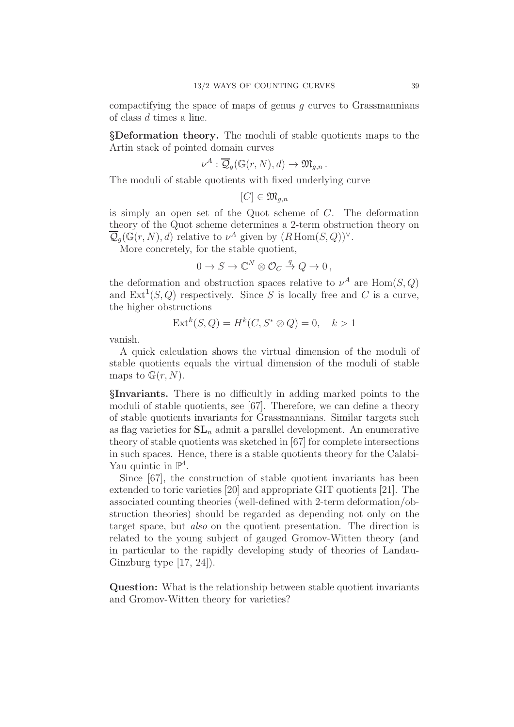compactifying the space of maps of genus  $q$  curves to Grassmannians of class d times a line.

§Deformation theory. The moduli of stable quotients maps to the Artin stack of pointed domain curves

$$
\nu^A: \overline{\mathcal{Q}}_g(\mathbb{G}(r,N),d) \to \mathfrak{M}_{g,n}.
$$

The moduli of stable quotients with fixed underlying curve

$$
[C] \in \mathfrak{M}_{g,n}
$$

is simply an open set of the Quot scheme of C. The deformation theory of the Quot scheme determines a 2-term obstruction theory on  $\overline{\mathcal{Q}}_g(\mathbb{G}(r,N),d)$  relative to  $\nu^A$  given by  $(R\operatorname{Hom}(S,Q))^{\vee}$ .

More concretely, for the stable quotient,

$$
0 \to S \to \mathbb{C}^N \otimes \mathcal{O}_C \stackrel{q}{\to} Q \to 0 \,,
$$

the deformation and obstruction spaces relative to  $\nu^A$  are  $\text{Hom}(S, Q)$ and  $Ext<sup>1</sup>(S, Q)$  respectively. Since S is locally free and C is a curve, the higher obstructions

$$
Extk(S, Q) = Hk(C, S^* \otimes Q) = 0, \quad k > 1
$$

vanish.

A quick calculation shows the virtual dimension of the moduli of stable quotients equals the virtual dimension of the moduli of stable maps to  $\mathbb{G}(r, N)$ .

§Invariants. There is no difficultly in adding marked points to the moduli of stable quotients, see [67]. Therefore, we can define a theory of stable quotients invariants for Grassmannians. Similar targets such as flag varieties for  $SL_n$  admit a parallel development. An enumerative theory of stable quotients was sketched in [67] for complete intersections in such spaces. Hence, there is a stable quotients theory for the Calabi-Yau quintic in  $\mathbb{P}^4$ .

Since [67], the construction of stable quotient invariants has been extended to toric varieties [20] and appropriate GIT quotients [21]. The associated counting theories (well-defined with 2-term deformation/obstruction theories) should be regarded as depending not only on the target space, but also on the quotient presentation. The direction is related to the young subject of gauged Gromov-Witten theory (and in particular to the rapidly developing study of theories of Landau-Ginzburg type [17, 24]).

Question: What is the relationship between stable quotient invariants and Gromov-Witten theory for varieties?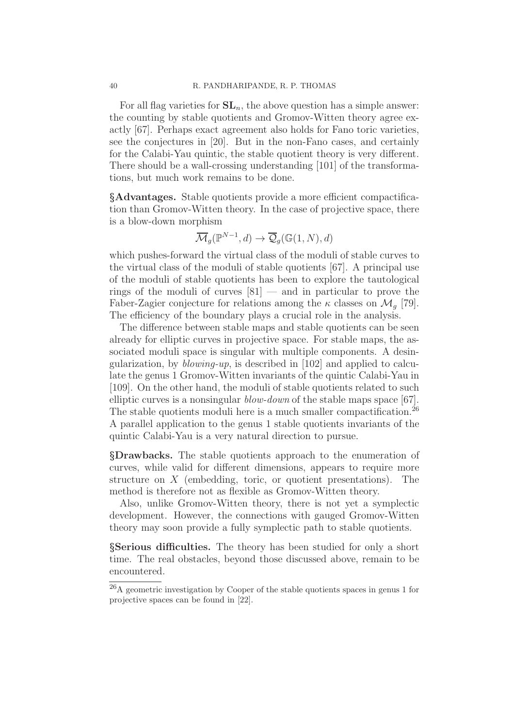For all flag varieties for  $SL_n$ , the above question has a simple answer: the counting by stable quotients and Gromov-Witten theory agree exactly [67]. Perhaps exact agreement also holds for Fano toric varieties, see the conjectures in [20]. But in the non-Fano cases, and certainly for the Calabi-Yau quintic, the stable quotient theory is very different. There should be a wall-crossing understanding [101] of the transformations, but much work remains to be done.

§Advantages. Stable quotients provide a more efficient compactification than Gromov-Witten theory. In the case of projective space, there is a blow-down morphism

$$
\overline{\mathcal{M}}_g(\mathbb{P}^{N-1},d) \to \overline{\mathcal{Q}}_g(\mathbb{G}(1,N),d)
$$

which pushes-forward the virtual class of the moduli of stable curves to the virtual class of the moduli of stable quotients [67]. A principal use of the moduli of stable quotients has been to explore the tautological rings of the moduli of curves  $[81]$  — and in particular to prove the Faber-Zagier conjecture for relations among the  $\kappa$  classes on  $\mathcal{M}_q$  [79]. The efficiency of the boundary plays a crucial role in the analysis.

The difference between stable maps and stable quotients can be seen already for elliptic curves in projective space. For stable maps, the associated moduli space is singular with multiple components. A desingularization, by blowing-up, is described in [102] and applied to calculate the genus 1 Gromov-Witten invariants of the quintic Calabi-Yau in [109]. On the other hand, the moduli of stable quotients related to such elliptic curves is a nonsingular *blow-down* of the stable maps space [67]. The stable quotients moduli here is a much smaller compactification.<sup>26</sup> A parallel application to the genus 1 stable quotients invariants of the quintic Calabi-Yau is a very natural direction to pursue.

§Drawbacks. The stable quotients approach to the enumeration of curves, while valid for different dimensions, appears to require more structure on  $X$  (embedding, toric, or quotient presentations). The method is therefore not as flexible as Gromov-Witten theory.

Also, unlike Gromov-Witten theory, there is not yet a symplectic development. However, the connections with gauged Gromov-Witten theory may soon provide a fully symplectic path to stable quotients.

§Serious difficulties. The theory has been studied for only a short time. The real obstacles, beyond those discussed above, remain to be encountered.

<sup>26</sup>A geometric investigation by Cooper of the stable quotients spaces in genus 1 for projective spaces can be found in [22].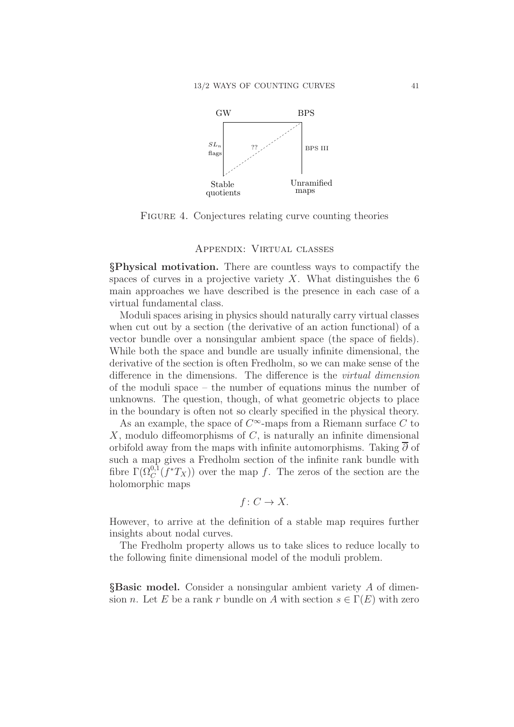

Figure 4. Conjectures relating curve counting theories

## Appendix: Virtual classes

§Physical motivation. There are countless ways to compactify the spaces of curves in a projective variety  $X$ . What distinguishes the 6 main approaches we have described is the presence in each case of a virtual fundamental class.

Moduli spaces arising in physics should naturally carry virtual classes when cut out by a section (the derivative of an action functional) of a vector bundle over a nonsingular ambient space (the space of fields). While both the space and bundle are usually infinite dimensional, the derivative of the section is often Fredholm, so we can make sense of the difference in the dimensions. The difference is the virtual dimension of the moduli space – the number of equations minus the number of unknowns. The question, though, of what geometric objects to place in the boundary is often not so clearly specified in the physical theory.

As an example, the space of  $C^{\infty}$ -maps from a Riemann surface C to  $X$ , modulo diffeomorphisms of  $C$ , is naturally an infinite dimensional orbifold away from the maps with infinite automorphisms. Taking  $\partial$  of such a map gives a Fredholm section of the infinite rank bundle with fibre  $\Gamma(\Omega_C^{0,1}(\tilde{f}^*T_X))$  over the map f. The zeros of the section are the holomorphic maps

$$
f\colon C\to X.
$$

However, to arrive at the definition of a stable map requires further insights about nodal curves.

The Fredholm property allows us to take slices to reduce locally to the following finite dimensional model of the moduli problem.

§Basic model. Consider a nonsingular ambient variety A of dimension n. Let E be a rank r bundle on A with section  $s \in \Gamma(E)$  with zero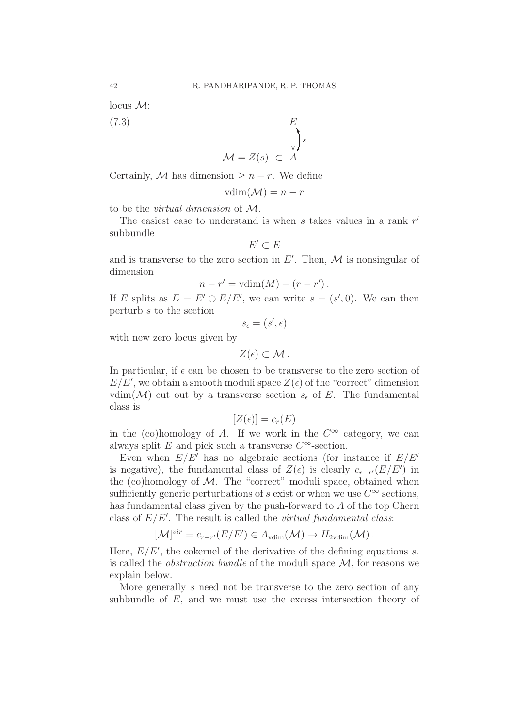locus  $\mathcal{M}$ :

(7.3) 
$$
\begin{array}{c}\nE \\
\downarrow \\
\mathcal{M} = Z(s) \subset A\n\end{array}
$$

Certainly, M has dimension  $\geq n-r$ . We define

$$
vdim(\mathcal{M}) = n - r
$$

to be the virtual dimension of M.

The easiest case to understand is when  $s$  takes values in a rank  $r'$ subbundle

$$
E'\subset E
$$

and is transverse to the zero section in  $E'$ . Then,  $\mathcal M$  is nonsingular of dimension

$$
n - r' = \text{vdim}(M) + (r - r').
$$

If E splits as  $E = E' \oplus E/E'$ , we can write  $s = (s', 0)$ . We can then perturb s to the section

$$
s_\epsilon = (s',\epsilon)
$$

with new zero locus given by

$$
Z(\epsilon)\subset \mathcal{M}.
$$

In particular, if  $\epsilon$  can be chosen to be transverse to the zero section of  $E/E'$ , we obtain a smooth moduli space  $Z(\epsilon)$  of the "correct" dimension vdim(M) cut out by a transverse section  $s_{\epsilon}$  of E. The fundamental class is

$$
[Z(\epsilon)] = c_r(E)
$$

in the (co)homology of A. If we work in the  $C^{\infty}$  category, we can always split E and pick such a transverse  $C^{\infty}$ -section.

Even when  $E/E'$  has no algebraic sections (for instance if  $E/E'$ is negative), the fundamental class of  $Z(\epsilon)$  is clearly  $c_{r-r'}(E/E')$  in the (co)homology of  $M$ . The "correct" moduli space, obtained when sufficiently generic perturbations of s exist or when we use  $C^{\infty}$  sections, has fundamental class given by the push-forward to A of the top Chern class of  $E/E'$ . The result is called the *virtual fundamental class*:

$$
[\mathcal{M}]^{vir} = c_{r-r'}(E/E') \in A_{\text{vdim}}(\mathcal{M}) \to H_{2\text{vdim}}(\mathcal{M}).
$$

Here,  $E/E'$ , the cokernel of the derivative of the defining equations s, is called the *obstruction bundle* of the moduli space  $M$ , for reasons we explain below.

More generally s need not be transverse to the zero section of any subbundle of  $E$ , and we must use the excess intersection theory of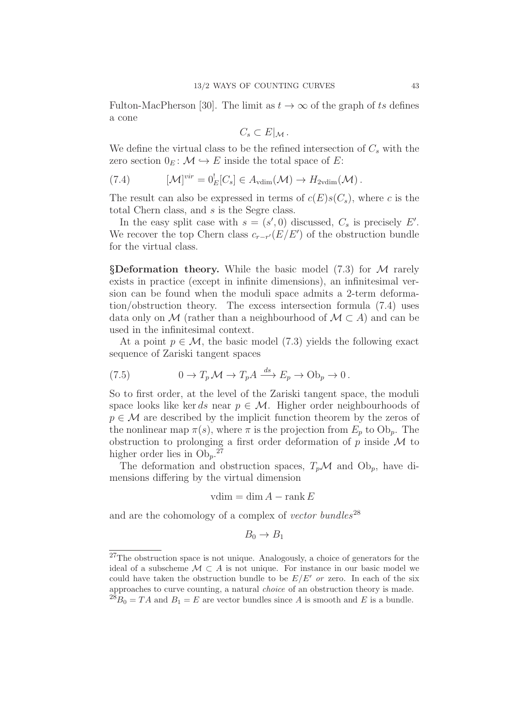Fulton-MacPherson [30]. The limit as  $t \to \infty$  of the graph of ts defines a cone

$$
C_s \subset E|_{\mathcal{M}}.
$$

We define the virtual class to be the refined intersection of  $C_s$  with the zero section  $0_E: \mathcal{M} \hookrightarrow E$  inside the total space of E:

(7.4) 
$$
[\mathcal{M}]^{vir} = 0_E^! [C_s] \in A_{\text{vdim}}(\mathcal{M}) \to H_{\text{2vdim}}(\mathcal{M}).
$$

The result can also be expressed in terms of  $c(E)s(C_s)$ , where c is the total Chern class, and s is the Segre class.

In the easy split case with  $s = (s', 0)$  discussed,  $C_s$  is precisely E'. We recover the top Chern class  $c_{r-r'}(E/E')$  of the obstruction bundle for the virtual class.

§Deformation theory. While the basic model  $(7.3)$  for M rarely exists in practice (except in infinite dimensions), an infinitesimal version can be found when the moduli space admits a 2-term deformation/obstruction theory. The excess intersection formula (7.4) uses data only on M (rather than a neighbourhood of  $\mathcal{M} \subset A$ ) and can be used in the infinitesimal context.

At a point  $p \in \mathcal{M}$ , the basic model (7.3) yields the following exact sequence of Zariski tangent spaces

(7.5) 
$$
0 \to T_p \mathcal{M} \to T_p A \xrightarrow{ds} E_p \to \text{Ob}_p \to 0.
$$

So to first order, at the level of the Zariski tangent space, the moduli space looks like ker ds near  $p \in \mathcal{M}$ . Higher order neighbourhoods of  $p \in \mathcal{M}$  are described by the implicit function theorem by the zeros of the nonlinear map  $\pi(s)$ , where  $\pi$  is the projection from  $E_p$  to  $\mathrm{Ob}_p$ . The obstruction to prolonging a first order deformation of  $p$  inside  $\mathcal M$  to higher order lies in  $\mathrm{Ob}_{p}^{27}$ .

The deformation and obstruction spaces,  $T_p\mathcal{M}$  and  $\mathrm{Ob}_p$ , have dimensions differing by the virtual dimension

$$
vdim = \dim A - \operatorname{rank} E
$$

and are the cohomology of a complex of *vector* bundles<sup>28</sup>

$$
B_0 \to B_1
$$

<sup>&</sup>lt;sup>27</sup>The obstruction space is not unique. Analogously, a choice of generators for the ideal of a subscheme  $\mathcal{M} \subset A$  is not unique. For instance in our basic model we could have taken the obstruction bundle to be  $E/E'$  or zero. In each of the six approaches to curve counting, a natural choice of an obstruction theory is made.  $^{28}B_0 = TA$  and  $B_1 = E$  are vector bundles since A is smooth and E is a bundle.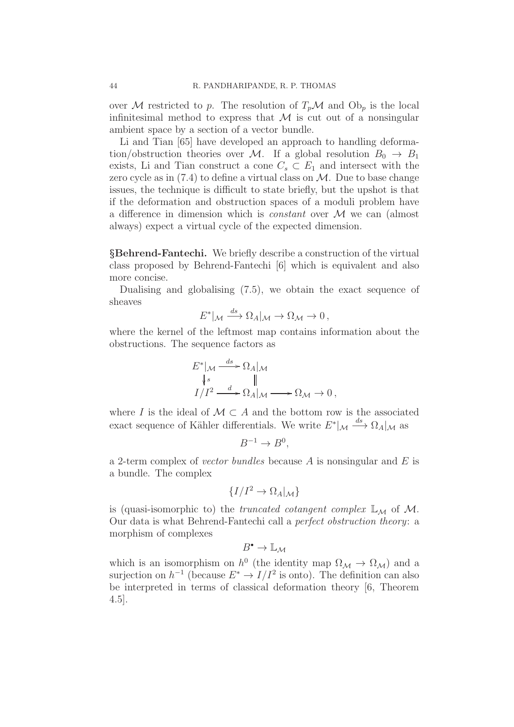over M restricted to p. The resolution of  $T_p\mathcal{M}$  and  $\mathrm{Ob}_p$  is the local infinitesimal method to express that  $\mathcal M$  is cut out of a nonsingular ambient space by a section of a vector bundle.

Li and Tian [65] have developed an approach to handling deformation/obstruction theories over M. If a global resolution  $B_0 \rightarrow B_1$ exists, Li and Tian construct a cone  $C_s \subset E_1$  and intersect with the zero cycle as in  $(7.4)$  to define a virtual class on M. Due to base change issues, the technique is difficult to state briefly, but the upshot is that if the deformation and obstruction spaces of a moduli problem have a difference in dimension which is *constant* over  $M$  we can (almost always) expect a virtual cycle of the expected dimension.

§Behrend-Fantechi. We briefly describe a construction of the virtual class proposed by Behrend-Fantechi [6] which is equivalent and also more concise.

Dualising and globalising (7.5), we obtain the exact sequence of sheaves

$$
E^*|_{\mathcal{M}} \xrightarrow{ds} \Omega_A|_{\mathcal{M}} \to \Omega_{\mathcal{M}} \to 0,
$$

where the kernel of the leftmost map contains information about the obstructions. The sequence factors as

$$
E^*|_{\mathcal{M}} \xrightarrow{ds} \Omega_A|_{\mathcal{M}}
$$
  
\n
$$
\downarrow^s \qquad \|
$$
  
\n
$$
I/I^2 \xrightarrow{d} \Omega_A|_{\mathcal{M}} \longrightarrow \Omega_{\mathcal{M}} \to 0,
$$

where I is the ideal of  $\mathcal{M} \subset A$  and the bottom row is the associated exact sequence of Kähler differentials. We write  $E^*|_{\mathcal{M}} \stackrel{ds}{\longrightarrow} \Omega_A|_{\mathcal{M}}$  as

$$
B^{-1} \to B^0,
$$

a 2-term complex of vector bundles because A is nonsingular and  $E$  is a bundle. The complex

$$
\{I/I^2 \to \Omega_A|_{\mathcal{M}}\}
$$

is (quasi-isomorphic to) the *truncated cotangent complex*  $\mathbb{L}_{\mathcal{M}}$  of M. Our data is what Behrend-Fantechi call a perfect obstruction theory: a morphism of complexes

 $B^{\bullet} \to \mathbb{L}_\mathcal{M}$ 

which is an isomorphism on  $h^0$  (the identity map  $\Omega_M \to \Omega_M$ ) and a surjection on  $h^{-1}$  (because  $E^* \to I/I^2$  is onto). The definition can also be interpreted in terms of classical deformation theory [6, Theorem 4.5].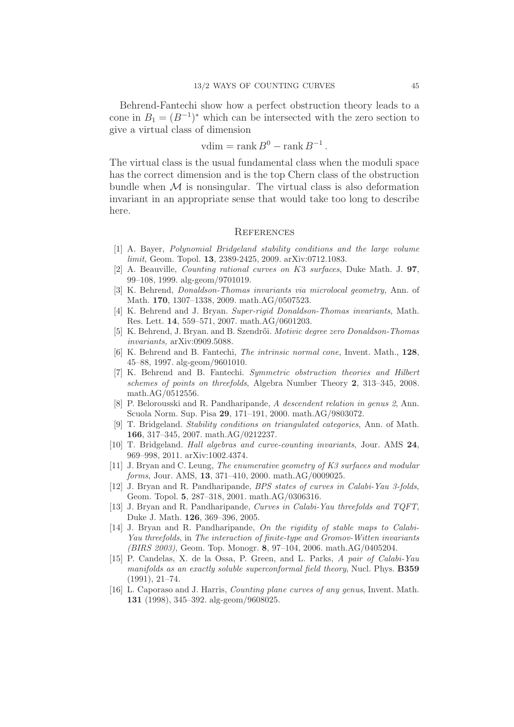Behrend-Fantechi show how a perfect obstruction theory leads to a cone in  $B_1 = (B^{-1})^*$  which can be intersected with the zero section to give a virtual class of dimension

$$
vdim = \operatorname{rank} B^0 - \operatorname{rank} B^{-1}.
$$

The virtual class is the usual fundamental class when the moduli space has the correct dimension and is the top Chern class of the obstruction bundle when  $\mathcal M$  is nonsingular. The virtual class is also deformation invariant in an appropriate sense that would take too long to describe here.

## **REFERENCES**

- [1] A. Bayer, Polynomial Bridgeland stability conditions and the large volume limit, Geom. Topol. 13, 2389-2425, 2009. arXiv:0712.1083.
- [2] A. Beauville, Counting rational curves on K3 surfaces, Duke Math. J. 97, 99–108, 1999. alg-geom/9701019.
- [3] K. Behrend, Donaldson-Thomas invariants via microlocal geometry, Ann. of Math. 170, 1307–1338, 2009. math.AG/0507523.
- [4] K. Behrend and J. Bryan. Super-rigid Donaldson-Thomas invariants, Math. Res. Lett. 14, 559–571, 2007. math.AG/0601203.
- [5] K. Behrend, J. Bryan. and B. Szendrői. Motivic degree zero Donaldson-Thomas invariants, arXiv:0909.5088.
- [6] K. Behrend and B. Fantechi, The intrinsic normal cone, Invent. Math., 128, 45–88, 1997. alg-geom/9601010.
- [7] K. Behrend and B. Fantechi. Symmetric obstruction theories and Hilbert schemes of points on threefolds, Algebra Number Theory 2, 313–345, 2008. math.AG/0512556.
- [8] P. Belorousski and R. Pandharipande, A descendent relation in genus 2, Ann. Scuola Norm. Sup. Pisa 29, 171–191, 2000. math.AG/9803072.
- [9] T. Bridgeland. Stability conditions on triangulated categories, Ann. of Math. 166, 317–345, 2007. math.AG/0212237.
- [10] T. Bridgeland. Hall algebras and curve-counting invariants, Jour. AMS 24, 969–998, 2011. arXiv:1002.4374.
- [11] J. Bryan and C. Leung, The enumerative geometry of K3 surfaces and modular forms, Jour. AMS, 13, 371–410, 2000. math.AG/0009025.
- [12] J. Bryan and R. Pandharipande, BPS states of curves in Calabi-Yau 3-folds, Geom. Topol. 5, 287–318, 2001. math.AG/0306316.
- [13] J. Bryan and R. Pandharipande, Curves in Calabi-Yau threefolds and TQFT, Duke J. Math. 126, 369–396, 2005.
- [14] J. Bryan and R. Pandharipande, On the rigidity of stable maps to Calabi-Yau threefolds, in The interaction of finite-type and Gromov-Witten invariants (BIRS 2003), Geom. Top. Monogr. 8, 97–104, 2006. math.AG/0405204.
- [15] P. Candelas, X. de la Ossa, P. Green, and L. Parks, A pair of Calabi-Yau manifolds as an exactly soluble superconformal field theory, Nucl. Phys. **B359** (1991), 21–74.
- [16] L. Caporaso and J. Harris, *Counting plane curves of any genus*, Invent. Math. 131 (1998), 345–392. alg-geom/9608025.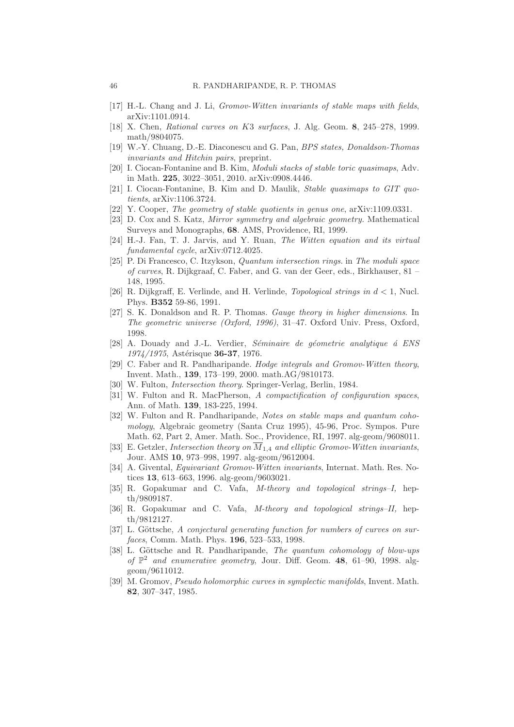- [17] H.-L. Chang and J. Li, Gromov-Witten invariants of stable maps with fields, arXiv:1101.0914.
- [18] X. Chen, Rational curves on K3 surfaces, J. Alg. Geom. 8, 245-278, 1999. math/9804075.
- [19] W.-Y. Chuang, D.-E. Diaconescu and G. Pan, BPS states, Donaldson-Thomas invariants and Hitchin pairs, preprint.
- [20] I. Ciocan-Fontanine and B. Kim, *Moduli stacks of stable toric quasimaps*, Adv. in Math. 225, 3022–3051, 2010. arXiv:0908.4446.
- [21] I. Ciocan-Fontanine, B. Kim and D. Maulik, Stable quasimaps to GIT quotients, arXiv:1106.3724.
- [22] Y. Cooper, The geometry of stable quotients in genus one, arXiv:1109.0331.
- [23] D. Cox and S. Katz, Mirror symmetry and algebraic geometry. Mathematical Surveys and Monographs, 68. AMS, Providence, RI, 1999.
- [24] H.-J. Fan, T. J. Jarvis, and Y. Ruan, The Witten equation and its virtual fundamental cycle, arXiv:0712.4025.
- [25] P. Di Francesco, C. Itzykson, Quantum intersection rings. in The moduli space of curves, R. Dijkgraaf, C. Faber, and G. van der Geer, eds., Birkhauser, 81 – 148, 1995.
- [26] R. Dijkgraff, E. Verlinde, and H. Verlinde, *Topological strings in*  $d < 1$ , Nucl. Phys. B352 59-86, 1991.
- [27] S. K. Donaldson and R. P. Thomas. Gauge theory in higher dimensions. In The geometric universe (Oxford, 1996), 31–47. Oxford Univ. Press, Oxford, 1998.
- [28] A. Douady and J.-L. Verdier, Séminaire de géometrie analytique à ENS 1974/1975, Astérisque 36-37, 1976.
- [29] C. Faber and R. Pandharipande. Hodge integrals and Gromov-Witten theory, Invent. Math., 139, 173–199, 2000. math.AG/9810173.
- [30] W. Fulton, *Intersection theory*. Springer-Verlag, Berlin, 1984.
- [31] W. Fulton and R. MacPherson, A compactification of configuration spaces, Ann. of Math. 139, 183-225, 1994.
- [32] W. Fulton and R. Pandharipande, Notes on stable maps and quantum cohomology, Algebraic geometry (Santa Cruz 1995), 45-96, Proc. Sympos. Pure Math. 62, Part 2, Amer. Math. Soc., Providence, RI, 1997. alg-geom/9608011.
- [33] E. Getzler, Intersection theory on  $\overline{M}_{1,4}$  and elliptic Gromov-Witten invariants, Jour. AMS 10, 973–998, 1997. alg-geom/9612004.
- [34] A. Givental, Equivariant Gromov-Witten invariants, Internat. Math. Res. Notices 13, 613–663, 1996. alg-geom/9603021.
- [35] R. Gopakumar and C. Vafa, M-theory and topological strings–I, hepth/9809187.
- [36] R. Gopakumar and C. Vafa, M-theory and topological strings–II, hepth/9812127.
- [37] L. Göttsche, A conjectural generating function for numbers of curves on surfaces, Comm. Math. Phys. 196, 523–533, 1998.
- [38] L. Göttsche and R. Pandharipande, The quantum cohomology of blow-ups of  $\mathbb{P}^2$  and enumerative geometry, Jour. Diff. Geom. 48, 61-90, 1998. alggeom/9611012.
- [39] M. Gromov, Pseudo holomorphic curves in symplectic manifolds, Invent. Math. 82, 307–347, 1985.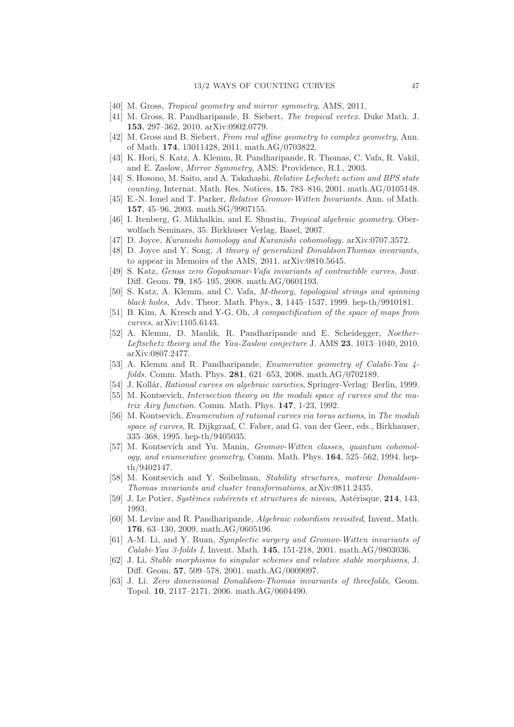- [40] M. Gross, *Tropical geometry and mirror symmetry*, AMS, 2011.
- [41] M. Gross, R. Pandharipande, B. Siebert, The tropical vertex. Duke Math. J. 153, 297–362, 2010. arXiv:0902.0779.
- [42] M. Gross and B. Siebert, From real affine geometry to complex geometry, Ann. of Math. 174, 13011428, 2011. math.AG/0703822.
- [43] K. Hori, S. Katz, A. Klemm, R. Pandharipande, R. Thomas, C. Vafa, R. Vakil, and E. Zaslow, Mirror Symmetry, AMS: Providence, R.I., 2003.
- [44] S. Hosono, M. Saito, and A. Takahashi, Relative Lefschetz action and BPS state counting, Internat. Math. Res. Notices, 15, 783–816, 2001. math.AG/0105148.
- [45] E.-N. Ionel and T. Parker, Relative Gromov-Witten Invariants. Ann. of Math. 157, 45–96, 2003. math.SG/9907155.
- [46] I. Itenberg, G. Mikhalkin, and E. Shustin, Tropical algebraic geometry. Oberwolfach Seminars, 35. Birkhuser Verlag, Basel, 2007.
- [47] D. Joyce, Kuranishi homology and Kuranishi cohomology. arXiv:0707.3572.
- [48] D. Joyce and Y. Song, A theory of generalized DonaldsonThomas invariants, to appear in Memoirs of the AMS, 2011. arXiv:0810.5645.
- [49] S. Katz, Genus zero Gopakumar-Vafa invariants of contractible curves, Jour. Diff. Geom. 79, 185–195, 2008. math.AG/0601193.
- [50] S. Katz, A. Klemm, and C. Vafa, M-theory, topological strings and spinning black holes, Adv. Theor. Math. Phys., 3, 1445–1537, 1999. hep-th/9910181.
- [51] B. Kim, A. Kresch and Y-G. Oh, A compactification of the space of maps from curves, arXiv:1105.6143.
- [52] A. Klemm, D. Maulik, R. Pandharipande and E. Scheidegger, Noether-Leftschetz theory and the Yau-Zaslow conjecture J. AMS 23, 1013–1040, 2010. arXiv:0807.2477.
- [53] A. Klemm and R. Pandharipande, Enumerative geometry of Calabi-Yau 4 folds. Comm. Math. Phys. 281, 621–653, 2008. math.AG/0702189.
- [54] J. Kollár, Rational curves on algebraic varieties, Springer-Verlag: Berlin, 1999.
- [55] M. Kontsevich, Intersection theory on the moduli space of curves and the matrix Airy function. Comm. Math. Phys. 147, 1-23, 1992.
- [56] M. Kontsevich, Enumeration of rational curves via torus actions, in The moduli space of curves, R. Dijkgraaf, C. Faber, and G. van der Geer, eds., Birkhauser, 335–368, 1995. hep-th/9405035.
- [57] M. Kontsevich and Yu. Manin, Gromov-Witten classes, quantum cohomology, and enumerative geometry, Comm. Math. Phys. 164, 525–562, 1994. hepth/9402147.
- [58] M. Kontsevich and Y. Soibelman, Stability structures, motivic Donaldson-Thomas invariants and cluster transformations, arXiv:0811.2435.
- [59] J. Le Potier, Systèmes cohérents et structures de niveau, Astérisque, 214, 143, 1993.
- [60] M. Levine and R. Pandharipande, Algebraic cobordism revisited, Invent. Math. 176, 63–130, 2009. math.AG/0605196.
- [61] A-M. Li, and Y. Ruan, Symplectic surgery and Gromov-Witten invariants of Calabi-Yau 3-folds I, Invent. Math. 145, 151-218, 2001. math.AG/9803036.
- [62] J. Li, Stable morphisms to singular schemes and relative stable morphisms, J. Diff. Geom. 57, 509–578, 2001. math.AG/0009097.
- [63] J. Li. Zero dimensional Donaldson-Thomas invariants of threefolds, Geom. Topol. 10, 2117–2171, 2006. math.AG/0604490.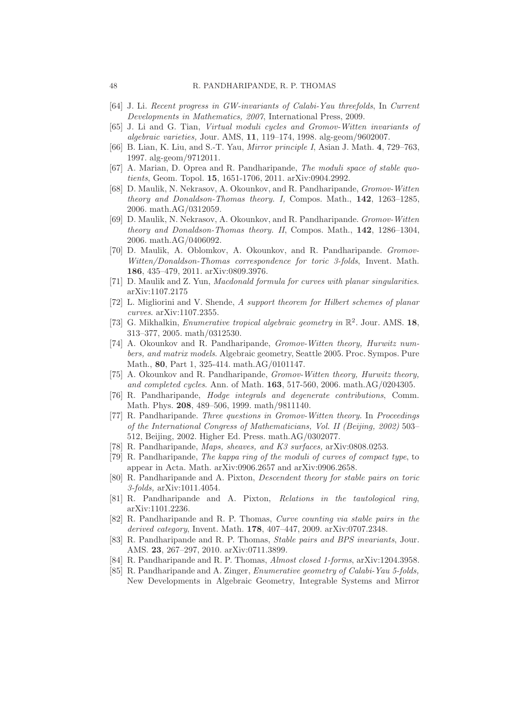- [64] J. Li. Recent progress in GW-invariants of Calabi-Yau threefolds, In Current Developments in Mathematics, 2007, International Press, 2009.
- [65] J. Li and G. Tian, Virtual moduli cycles and Gromov-Witten invariants of algebraic varieties, Jour. AMS, 11, 119–174, 1998. alg-geom/9602007.
- [66] B. Lian, K. Liu, and S.-T. Yau, Mirror principle I, Asian J. Math. 4, 729–763, 1997. alg-geom/9712011.
- [67] A. Marian, D. Oprea and R. Pandharipande, The moduli space of stable quotients, Geom. Topol. 15, 1651-1706, 2011. arXiv:0904.2992.
- [68] D. Maulik, N. Nekrasov, A. Okounkov, and R. Pandharipande, Gromov-Witten theory and Donaldson-Thomas theory. I, Compos. Math., 142, 1263–1285, 2006. math.AG/0312059.
- [69] D. Maulik, N. Nekrasov, A. Okounkov, and R. Pandharipande. Gromov-Witten theory and Donaldson-Thomas theory. II, Compos. Math., 142, 1286–1304, 2006. math.AG/0406092.
- [70] D. Maulik, A. Oblomkov, A. Okounkov, and R. Pandharipande. Gromov-Witten/Donaldson-Thomas correspondence for toric 3-folds, Invent. Math. 186, 435–479, 2011. arXiv:0809.3976.
- [71] D. Maulik and Z. Yun, Macdonald formula for curves with planar singularities. arXiv:1107.2175
- [72] L. Migliorini and V. Shende, A support theorem for Hilbert schemes of planar curves. arXiv:1107.2355.
- [73] G. Mikhalkin, *Enumerative tropical algebraic geometry in*  $\mathbb{R}^2$ . Jour. AMS. 18, 313–377, 2005. math/0312530.
- [74] A. Okounkov and R. Pandharipande, Gromov-Witten theory, Hurwitz numbers, and matrix models. Algebraic geometry, Seattle 2005. Proc. Sympos. Pure Math., 80, Part 1, 325-414. math.AG/0101147.
- [75] A. Okounkov and R. Pandharipande, Gromov-Witten theory, Hurwitz theory, and completed cycles. Ann. of Math. 163, 517-560, 2006. math.AG/0204305.
- [76] R. Pandharipande, Hodge integrals and degenerate contributions, Comm. Math. Phys. 208, 489–506, 1999. math/9811140.
- [77] R. Pandharipande. Three questions in Gromov-Witten theory. In Proceedings of the International Congress of Mathematicians, Vol. II (Beijing, 2002) 503– 512, Beijing, 2002. Higher Ed. Press. math.AG/0302077.
- [78] R. Pandharipande, Maps, sheaves, and K3 surfaces, arXiv:0808.0253.
- [79] R. Pandharipande, The kappa ring of the moduli of curves of compact type, to appear in Acta. Math. arXiv:0906.2657 and arXiv:0906.2658.
- [80] R. Pandharipande and A. Pixton, Descendent theory for stable pairs on toric 3-folds, arXiv:1011.4054.
- [81] R. Pandharipande and A. Pixton, Relations in the tautological ring, arXiv:1101.2236.
- [82] R. Pandharipande and R. P. Thomas, Curve counting via stable pairs in the derived category, Invent. Math. 178, 407–447, 2009. arXiv:0707.2348.
- [83] R. Pandharipande and R. P. Thomas, Stable pairs and BPS invariants, Jour. AMS. 23, 267–297, 2010. arXiv:0711.3899.
- [84] R. Pandharipande and R. P. Thomas, Almost closed 1-forms, arXiv:1204.3958.
- [85] R. Pandharipande and A. Zinger, Enumerative geometry of Calabi-Yau 5-folds, New Developments in Algebraic Geometry, Integrable Systems and Mirror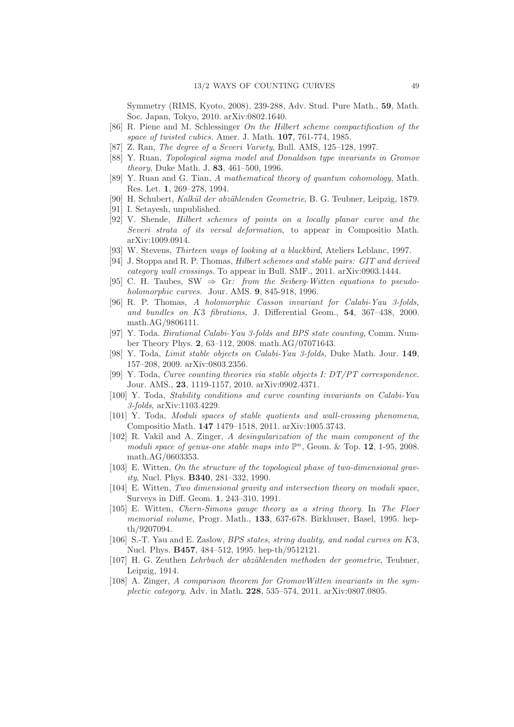Symmetry (RIMS, Kyoto, 2008), 239-288, Adv. Stud. Pure Math., 59, Math. Soc. Japan, Tokyo, 2010. arXiv:0802.1640.

- [86] R. Piene and M. Schlessinger On the Hilbert scheme compactification of the space of twisted cubics. Amer. J. Math. 107, 761-774, 1985.
- [87] Z. Ran, The degree of a Severi Variety, Bull. AMS, 125–128, 1997.
- [88] Y. Ruan, Topological sigma model and Donaldson type invariants in Gromov theory, Duke Math. J. 83, 461–500, 1996.
- [89] Y. Ruan and G. Tian, A mathematical theory of quantum cohomology, Math. Res. Let. 1, 269–278, 1994.
- [90] H. Schubert, Kalkül der abzählenden Geometrie, B. G. Teubner, Leipzig, 1879.
- [91] I. Setayesh, unpublished.
- [92] V. Shende, Hilbert schemes of points on a locally planar curve and the Severi strata of its versal deformation, to appear in Compositio Math. arXiv:1009.0914.
- [93] W. Stevens, Thirteen ways of looking at a blackbird, Ateliers Leblanc, 1997.
- [94] J. Stoppa and R. P. Thomas, Hilbert schemes and stable pairs: GIT and derived category wall crossings. To appear in Bull. SMF., 2011. arXiv:0903.1444.
- [95] C. H. Taubes, SW  $\Rightarrow$  Gr: from the Seiberg-Witten equations to pseudoholomorphic curves. Jour. AMS. 9, 845-918, 1996.
- [96] R. P. Thomas, A holomorphic Casson invariant for Calabi-Yau 3-folds, and bundles on K3 fibrations, J. Differential Geom., 54, 367–438, 2000. math.AG/9806111.
- [97] Y. Toda. Birational Calabi-Yau 3-folds and BPS state counting, Comm. Number Theory Phys. 2, 63–112, 2008. math.AG/07071643.
- [98] Y. Toda, Limit stable objects on Calabi-Yau 3-folds, Duke Math. Jour. 149, 157–208, 2009. arXiv:0803.2356.
- [99] Y. Toda, Curve counting theories via stable objects I: DT/PT correspondence. Jour. AMS., 23, 1119-1157, 2010. arXiv:0902.4371.
- [100] Y. Toda, Stability conditions and curve counting invariants on Calabi-Yau 3-folds, arXiv:1103.4229.
- [101] Y. Toda, Moduli spaces of stable quotients and wall-crossing phenomena, Compositio Math. 147 1479–1518, 2011. arXiv:1005.3743.
- [102] R. Vakil and A. Zinger, A desingularization of the main component of the moduli space of genus-one stable maps into  $\mathbb{P}^n$ , Geom. & Top. 12, 1-95, 2008. math.AG/0603353.
- [103] E. Witten, On the structure of the topological phase of two-dimensional gravity, Nucl. Phys. B340, 281–332, 1990.
- [104] E. Witten, Two dimensional gravity and intersection theory on moduli space, Surveys in Diff. Geom. 1, 243–310, 1991.
- [105] E. Witten, Chern-Simons gauge theory as a string theory. In The Floer memorial volume, Progr. Math., 133, 637-678. Birkhuser, Basel, 1995. hepth/9207094.
- [106] S.-T. Yau and E. Zaslow, BPS states, string duality, and nodal curves on K3, Nucl. Phys. B457, 484–512, 1995. hep-th/9512121.
- [107] H. G. Zeuthen Lehrbuch der abzählenden methoden der geometrie, Teubner, Leipzig, 1914.
- [108] A. Zinger, A comparison theorem for GromovWitten invariants in the symplectic category, Adv. in Math. 228, 535–574, 2011. arXiv:0807.0805.